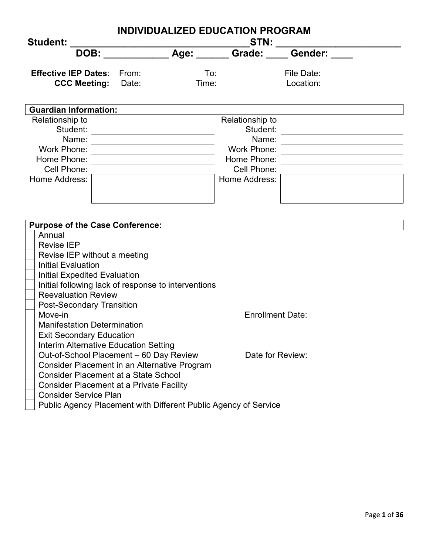| INDIVIDUALIZED EDUCATION PROGRAM<br><b>Student:</b>                                                                                                                                                                                                                                                                                                                          |                                                 |                                          |
|------------------------------------------------------------------------------------------------------------------------------------------------------------------------------------------------------------------------------------------------------------------------------------------------------------------------------------------------------------------------------|-------------------------------------------------|------------------------------------------|
|                                                                                                                                                                                                                                                                                                                                                                              |                                                 |                                          |
| Effective IEP Dates: From: To: To: File Date: CCC Meeting: Date: Time: Time: Location: The Date: The Date: Time: Time: The Date: The Date: The Date: The Date: The Date: The Date: The Date: The Date: The Date: The Date: The                                                                                                                                               |                                                 |                                          |
| <b>Guardian Information:</b>                                                                                                                                                                                                                                                                                                                                                 |                                                 |                                          |
| Relationship to<br>Student:<br>Name: _________________________<br>Work Phone:<br><u> 1989 - Johann Barn, mars ann an t-Amhain ann an t-Amhain an t-Amhain an t-Amhain an t-Amhain ann an t-Amhain </u><br>Home Phone: _________________________________<br>Cell Phone:<br>Home Address:                                                                                      | Relationship to<br>Cell Phone:<br>Home Address: | Work Phone: ____________________________ |
| Purpose of the Case Conference: example of the Case Conference:<br>Annual<br><b>Revise IEP</b><br>Revise IEP without a meeting<br><b>Initial Evaluation</b><br><b>Initial Expedited Evaluation</b><br>Initial following lack of response to interventions<br><b>Reevaluation Review</b><br><b>Post-Secondary Transition</b><br>Move-in<br><b>Manifestation Determination</b> |                                                 | Enrollment Date:                         |
| <b>Exit Secondary Education</b><br>Interim Alternative Education Setting<br>Out-of-School Placement - 60 Day Review<br>Consider Placement in an Alternative Program<br><b>Consider Placement at a State School</b><br><b>Consider Placement at a Private Facility</b><br><b>Consider Service Plan</b><br>Public Agency Placement with Different Public Agency of Service     |                                                 | Date for Review:                         |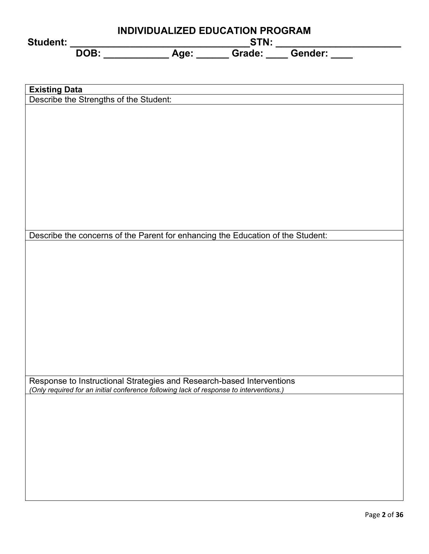| Student:                                                                                                                                                        |  | INDIVIDUALIZED EDUCATION PROGRAM |  |
|-----------------------------------------------------------------------------------------------------------------------------------------------------------------|--|----------------------------------|--|
|                                                                                                                                                                 |  |                                  |  |
|                                                                                                                                                                 |  |                                  |  |
|                                                                                                                                                                 |  |                                  |  |
| <b>Existing Data</b>                                                                                                                                            |  |                                  |  |
| Describe the Strengths of the Student:                                                                                                                          |  |                                  |  |
|                                                                                                                                                                 |  |                                  |  |
|                                                                                                                                                                 |  |                                  |  |
|                                                                                                                                                                 |  |                                  |  |
|                                                                                                                                                                 |  |                                  |  |
|                                                                                                                                                                 |  |                                  |  |
|                                                                                                                                                                 |  |                                  |  |
|                                                                                                                                                                 |  |                                  |  |
|                                                                                                                                                                 |  |                                  |  |
|                                                                                                                                                                 |  |                                  |  |
| Describe the concerns of the Parent for enhancing the Education of the Student:                                                                                 |  |                                  |  |
|                                                                                                                                                                 |  |                                  |  |
|                                                                                                                                                                 |  |                                  |  |
|                                                                                                                                                                 |  |                                  |  |
|                                                                                                                                                                 |  |                                  |  |
|                                                                                                                                                                 |  |                                  |  |
|                                                                                                                                                                 |  |                                  |  |
|                                                                                                                                                                 |  |                                  |  |
|                                                                                                                                                                 |  |                                  |  |
|                                                                                                                                                                 |  |                                  |  |
|                                                                                                                                                                 |  |                                  |  |
|                                                                                                                                                                 |  |                                  |  |
| Response to Instructional Strategies and Research-based Interventions<br>(Only required for an initial conference following lack of response to interventions.) |  |                                  |  |
|                                                                                                                                                                 |  |                                  |  |
|                                                                                                                                                                 |  |                                  |  |
|                                                                                                                                                                 |  |                                  |  |
|                                                                                                                                                                 |  |                                  |  |
|                                                                                                                                                                 |  |                                  |  |
|                                                                                                                                                                 |  |                                  |  |
|                                                                                                                                                                 |  |                                  |  |
|                                                                                                                                                                 |  |                                  |  |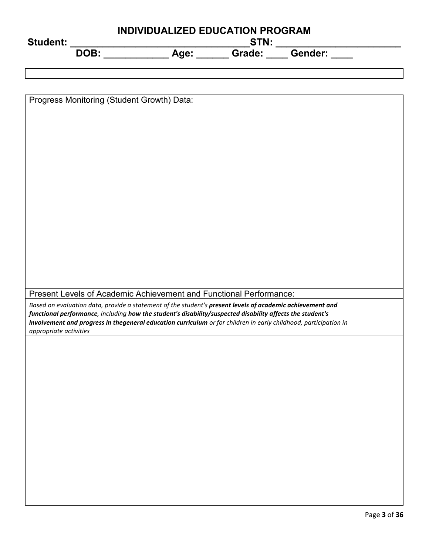| INDIVIDUALIZED EDUCATION PROGRAM<br>_STN: _______________                                                                                                                                                              |  |  |  |  |
|------------------------------------------------------------------------------------------------------------------------------------------------------------------------------------------------------------------------|--|--|--|--|
| <b>Student:</b><br>DOB:                                                                                                                                                                                                |  |  |  |  |
|                                                                                                                                                                                                                        |  |  |  |  |
|                                                                                                                                                                                                                        |  |  |  |  |
|                                                                                                                                                                                                                        |  |  |  |  |
| Progress Monitoring (Student Growth) Data:                                                                                                                                                                             |  |  |  |  |
|                                                                                                                                                                                                                        |  |  |  |  |
|                                                                                                                                                                                                                        |  |  |  |  |
|                                                                                                                                                                                                                        |  |  |  |  |
|                                                                                                                                                                                                                        |  |  |  |  |
|                                                                                                                                                                                                                        |  |  |  |  |
|                                                                                                                                                                                                                        |  |  |  |  |
|                                                                                                                                                                                                                        |  |  |  |  |
|                                                                                                                                                                                                                        |  |  |  |  |
|                                                                                                                                                                                                                        |  |  |  |  |
|                                                                                                                                                                                                                        |  |  |  |  |
|                                                                                                                                                                                                                        |  |  |  |  |
|                                                                                                                                                                                                                        |  |  |  |  |
|                                                                                                                                                                                                                        |  |  |  |  |
| Present Levels of Academic Achievement and Functional Performance:                                                                                                                                                     |  |  |  |  |
| Based on evaluation data, provide a statement of the student's present levels of academic achievement and<br>functional performance, including how the student's disability/suspected disability affects the student's |  |  |  |  |
| involvement and progress in thegeneral education curriculum or for children in early childhood, participation in                                                                                                       |  |  |  |  |
| appropriate activities                                                                                                                                                                                                 |  |  |  |  |
|                                                                                                                                                                                                                        |  |  |  |  |
|                                                                                                                                                                                                                        |  |  |  |  |
|                                                                                                                                                                                                                        |  |  |  |  |
|                                                                                                                                                                                                                        |  |  |  |  |
|                                                                                                                                                                                                                        |  |  |  |  |
|                                                                                                                                                                                                                        |  |  |  |  |
|                                                                                                                                                                                                                        |  |  |  |  |
|                                                                                                                                                                                                                        |  |  |  |  |
|                                                                                                                                                                                                                        |  |  |  |  |
|                                                                                                                                                                                                                        |  |  |  |  |
|                                                                                                                                                                                                                        |  |  |  |  |
|                                                                                                                                                                                                                        |  |  |  |  |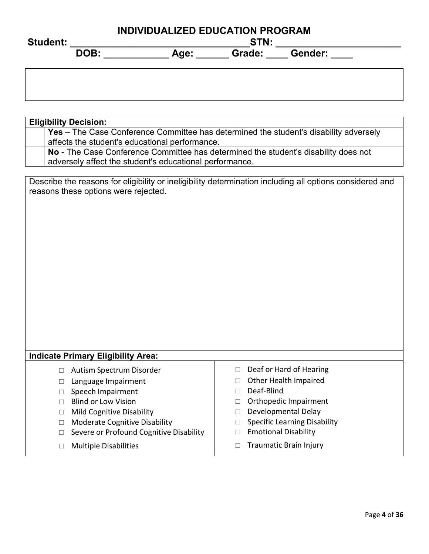| <b>Student:</b> | <b>INDIVIDUALIZED EDUCATION PROGRAM</b><br>STN: |                           |  |  |  |
|-----------------|-------------------------------------------------|---------------------------|--|--|--|
|                 | DOB:                                            | Grade:<br>Gender:<br>Age: |  |  |  |
|                 |                                                 |                           |  |  |  |

| <b>Eligibility Decision:</b>                                                                             |                                               |  |  |  |  |  |  |  |
|----------------------------------------------------------------------------------------------------------|-----------------------------------------------|--|--|--|--|--|--|--|
| <b>Yes</b> – The Case Conference Committee has determined the student's disability adversely             |                                               |  |  |  |  |  |  |  |
| affects the student's educational performance.                                                           |                                               |  |  |  |  |  |  |  |
| No - The Case Conference Committee has determined the student's disability does not                      |                                               |  |  |  |  |  |  |  |
| adversely affect the student's educational performance.                                                  |                                               |  |  |  |  |  |  |  |
|                                                                                                          |                                               |  |  |  |  |  |  |  |
| Describe the reasons for eligibility or ineligibility determination including all options considered and |                                               |  |  |  |  |  |  |  |
| reasons these options were rejected.                                                                     |                                               |  |  |  |  |  |  |  |
|                                                                                                          |                                               |  |  |  |  |  |  |  |
|                                                                                                          |                                               |  |  |  |  |  |  |  |
|                                                                                                          |                                               |  |  |  |  |  |  |  |
|                                                                                                          |                                               |  |  |  |  |  |  |  |
|                                                                                                          |                                               |  |  |  |  |  |  |  |
|                                                                                                          |                                               |  |  |  |  |  |  |  |
|                                                                                                          |                                               |  |  |  |  |  |  |  |
|                                                                                                          |                                               |  |  |  |  |  |  |  |
|                                                                                                          |                                               |  |  |  |  |  |  |  |
|                                                                                                          |                                               |  |  |  |  |  |  |  |
|                                                                                                          |                                               |  |  |  |  |  |  |  |
|                                                                                                          |                                               |  |  |  |  |  |  |  |
|                                                                                                          |                                               |  |  |  |  |  |  |  |
|                                                                                                          |                                               |  |  |  |  |  |  |  |
|                                                                                                          |                                               |  |  |  |  |  |  |  |
|                                                                                                          |                                               |  |  |  |  |  |  |  |
|                                                                                                          |                                               |  |  |  |  |  |  |  |
| <b>Indicate Primary Eligibility Area:</b>                                                                |                                               |  |  |  |  |  |  |  |
| □ Autism Spectrum Disorder                                                                               | Deaf or Hard of Hearing<br>$\Box$             |  |  |  |  |  |  |  |
| Language Impairment<br>$\Box$                                                                            | Other Health Impaired<br>$\Box$               |  |  |  |  |  |  |  |
| Speech Impairment<br>П                                                                                   | Deaf-Blind<br>$\Box$                          |  |  |  |  |  |  |  |
| <b>Blind or Low Vision</b><br>$\Box$                                                                     | Orthopedic Impairment<br>$\Box$               |  |  |  |  |  |  |  |
| <b>Mild Cognitive Disability</b><br>$\Box$                                                               | Developmental Delay<br>$\Box$                 |  |  |  |  |  |  |  |
| <b>Moderate Cognitive Disability</b><br>□                                                                | <b>Specific Learning Disability</b><br>$\Box$ |  |  |  |  |  |  |  |
| Severe or Profound Cognitive Disability                                                                  | <b>Emotional Disability</b><br>$\Box$         |  |  |  |  |  |  |  |
| □                                                                                                        |                                               |  |  |  |  |  |  |  |
| <b>Multiple Disabilities</b><br>□                                                                        | <b>Traumatic Brain Injury</b><br>П            |  |  |  |  |  |  |  |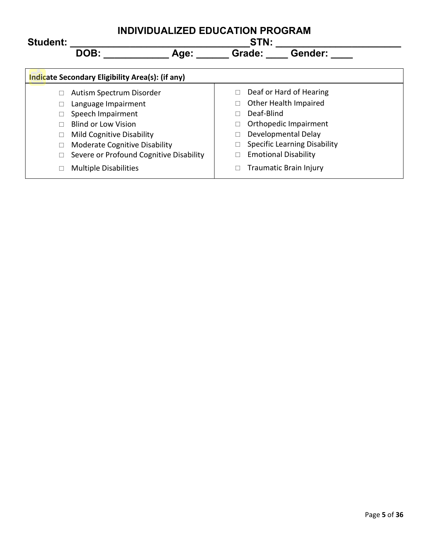| <b>Student:</b> | <b>INDIVIDUALIZED EDUCATION PROGRAM</b><br>STN:  |                                     |  |  |  |  |
|-----------------|--------------------------------------------------|-------------------------------------|--|--|--|--|
|                 | DOB:<br>Age:                                     | Grade:<br>Gender:                   |  |  |  |  |
|                 | Indicate Secondary Eligibility Area(s): (if any) |                                     |  |  |  |  |
|                 | Autism Spectrum Disorder                         | Deaf or Hard of Hearing             |  |  |  |  |
|                 | Language Impairment                              | Other Health Impaired               |  |  |  |  |
|                 | Speech Impairment                                | Deaf-Blind                          |  |  |  |  |
|                 | Blind or Low Vision                              | Orthopedic Impairment               |  |  |  |  |
|                 | <b>Mild Cognitive Disability</b>                 | Developmental Delay                 |  |  |  |  |
|                 | <b>Moderate Cognitive Disability</b>             | <b>Specific Learning Disability</b> |  |  |  |  |
|                 | Severe or Profound Cognitive Disability          | <b>Emotional Disability</b>         |  |  |  |  |
| $\Box$          | <b>Multiple Disabilities</b>                     | <b>Traumatic Brain Injury</b>       |  |  |  |  |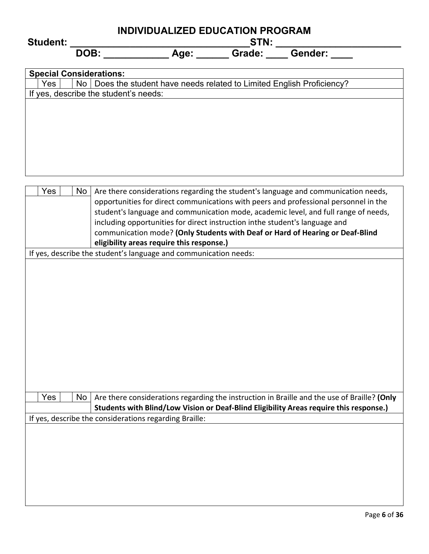| <b>Student:</b> | INDIVIDUALIZED EDUCATION PROGRAM<br>STN: |                                                                     |        |                |  |  |
|-----------------|------------------------------------------|---------------------------------------------------------------------|--------|----------------|--|--|
|                 | DOB:                                     | Age:                                                                | Grade: | <b>Gender:</b> |  |  |
|                 | <b>Special Considerations:</b>           |                                                                     |        |                |  |  |
| Yes             | No.                                      | Does the student have needs related to Limited English Proficiency? |        |                |  |  |
|                 | If yes, describe the student's needs:    |                                                                     |        |                |  |  |
|                 |                                          |                                                                     |        |                |  |  |
|                 |                                          |                                                                     |        |                |  |  |
|                 |                                          |                                                                     |        |                |  |  |
|                 |                                          |                                                                     |        |                |  |  |
|                 |                                          |                                                                     |        |                |  |  |
|                 |                                          |                                                                     |        |                |  |  |
|                 |                                          |                                                                     |        |                |  |  |
|                 |                                          |                                                                     |        |                |  |  |

|  | Yes |  | No                                                                                   | Are there considerations regarding the student's language and communication needs,          |  |  |  |  |
|--|-----|--|--------------------------------------------------------------------------------------|---------------------------------------------------------------------------------------------|--|--|--|--|
|  |     |  | opportunities for direct communications with peers and professional personnel in the |                                                                                             |  |  |  |  |
|  |     |  | student's language and communication mode, academic level, and full range of needs,  |                                                                                             |  |  |  |  |
|  |     |  |                                                                                      | including opportunities for direct instruction inthe student's language and                 |  |  |  |  |
|  |     |  |                                                                                      | communication mode? (Only Students with Deaf or Hard of Hearing or Deaf-Blind               |  |  |  |  |
|  |     |  |                                                                                      | eligibility areas require this response.)                                                   |  |  |  |  |
|  |     |  |                                                                                      | If yes, describe the student's language and communication needs:                            |  |  |  |  |
|  |     |  |                                                                                      |                                                                                             |  |  |  |  |
|  |     |  |                                                                                      |                                                                                             |  |  |  |  |
|  |     |  |                                                                                      |                                                                                             |  |  |  |  |
|  |     |  |                                                                                      |                                                                                             |  |  |  |  |
|  |     |  |                                                                                      |                                                                                             |  |  |  |  |
|  |     |  |                                                                                      |                                                                                             |  |  |  |  |
|  |     |  |                                                                                      |                                                                                             |  |  |  |  |
|  |     |  |                                                                                      |                                                                                             |  |  |  |  |
|  |     |  |                                                                                      |                                                                                             |  |  |  |  |
|  |     |  |                                                                                      |                                                                                             |  |  |  |  |
|  |     |  |                                                                                      |                                                                                             |  |  |  |  |
|  |     |  |                                                                                      |                                                                                             |  |  |  |  |
|  |     |  |                                                                                      |                                                                                             |  |  |  |  |
|  | Yes |  | No                                                                                   | Are there considerations regarding the instruction in Braille and the use of Braille? (Only |  |  |  |  |
|  |     |  |                                                                                      | Students with Blind/Low Vision or Deaf-Blind Eligibility Areas require this response.)      |  |  |  |  |
|  |     |  |                                                                                      | If yes, describe the considerations regarding Braille:                                      |  |  |  |  |
|  |     |  |                                                                                      |                                                                                             |  |  |  |  |
|  |     |  |                                                                                      |                                                                                             |  |  |  |  |
|  |     |  |                                                                                      |                                                                                             |  |  |  |  |
|  |     |  |                                                                                      |                                                                                             |  |  |  |  |
|  |     |  |                                                                                      |                                                                                             |  |  |  |  |
|  |     |  |                                                                                      |                                                                                             |  |  |  |  |
|  |     |  |                                                                                      |                                                                                             |  |  |  |  |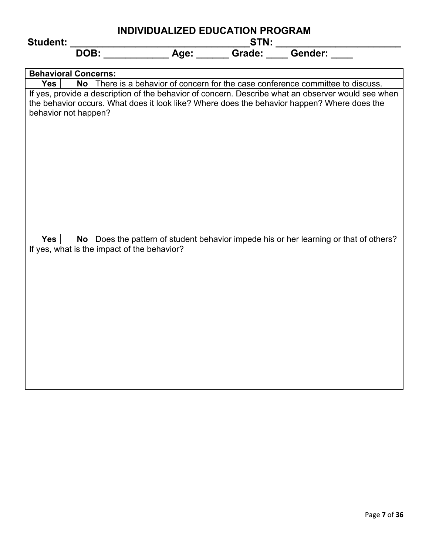|                             | INDIVIDUALIZED EDUCATION PROGRAM |                                             |  |  |                                                                                                    |  |
|-----------------------------|----------------------------------|---------------------------------------------|--|--|----------------------------------------------------------------------------------------------------|--|
| <b>Student:</b>             |                                  |                                             |  |  |                                                                                                    |  |
|                             |                                  |                                             |  |  |                                                                                                    |  |
|                             |                                  |                                             |  |  |                                                                                                    |  |
| <b>Behavioral Concerns:</b> |                                  |                                             |  |  |                                                                                                    |  |
| Yes                         |                                  |                                             |  |  | No   There is a behavior of concern for the case conference committee to discuss.                  |  |
|                             |                                  |                                             |  |  | If yes, provide a description of the behavior of concern. Describe what an observer would see when |  |
|                             |                                  |                                             |  |  | the behavior occurs. What does it look like? Where does the behavior happen? Where does the        |  |
| behavior not happen?        |                                  |                                             |  |  |                                                                                                    |  |
|                             |                                  |                                             |  |  |                                                                                                    |  |
|                             |                                  |                                             |  |  |                                                                                                    |  |
|                             |                                  |                                             |  |  |                                                                                                    |  |
|                             |                                  |                                             |  |  |                                                                                                    |  |
|                             |                                  |                                             |  |  |                                                                                                    |  |
|                             |                                  |                                             |  |  |                                                                                                    |  |
|                             |                                  |                                             |  |  |                                                                                                    |  |
|                             |                                  |                                             |  |  |                                                                                                    |  |
|                             |                                  |                                             |  |  |                                                                                                    |  |
|                             |                                  |                                             |  |  |                                                                                                    |  |
|                             |                                  |                                             |  |  |                                                                                                    |  |
| <b>Yes</b>                  | No                               |                                             |  |  | Does the pattern of student behavior impede his or her learning or that of others?                 |  |
|                             |                                  | If yes, what is the impact of the behavior? |  |  |                                                                                                    |  |
|                             |                                  |                                             |  |  |                                                                                                    |  |
|                             |                                  |                                             |  |  |                                                                                                    |  |
|                             |                                  |                                             |  |  |                                                                                                    |  |
|                             |                                  |                                             |  |  |                                                                                                    |  |
|                             |                                  |                                             |  |  |                                                                                                    |  |
|                             |                                  |                                             |  |  |                                                                                                    |  |
|                             |                                  |                                             |  |  |                                                                                                    |  |
|                             |                                  |                                             |  |  |                                                                                                    |  |
|                             |                                  |                                             |  |  |                                                                                                    |  |
|                             |                                  |                                             |  |  |                                                                                                    |  |
|                             |                                  |                                             |  |  |                                                                                                    |  |
|                             |                                  |                                             |  |  |                                                                                                    |  |
|                             |                                  |                                             |  |  |                                                                                                    |  |
|                             |                                  |                                             |  |  |                                                                                                    |  |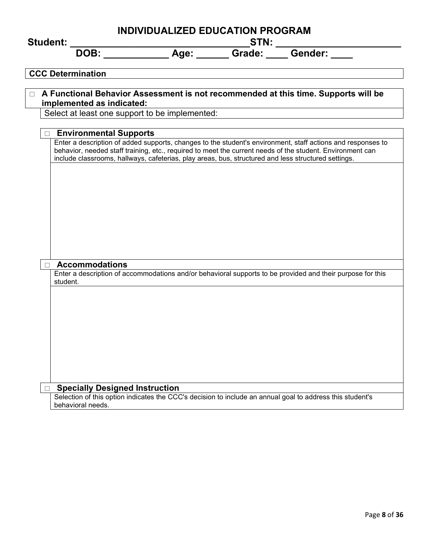| <b>Student:</b>                                 | <b>INDIVIDUALIZED EDUCATION PROGRAM</b><br>$\begin{array}{c}\n\mathsf{STN:}\n\end{array}$           |  |                                                                                                                                                                                                                          |  |  |
|-------------------------------------------------|-----------------------------------------------------------------------------------------------------|--|--------------------------------------------------------------------------------------------------------------------------------------------------------------------------------------------------------------------------|--|--|
|                                                 |                                                                                                     |  |                                                                                                                                                                                                                          |  |  |
| <b>CCC Determination</b>                        |                                                                                                     |  |                                                                                                                                                                                                                          |  |  |
|                                                 |                                                                                                     |  | □ A Functional Behavior Assessment is not recommended at this time. Supports will be                                                                                                                                     |  |  |
| implemented as indicated:                       |                                                                                                     |  |                                                                                                                                                                                                                          |  |  |
| Select at least one support to be implemented:  |                                                                                                     |  |                                                                                                                                                                                                                          |  |  |
| □ Environmental Supports                        |                                                                                                     |  |                                                                                                                                                                                                                          |  |  |
|                                                 | include classrooms, hallways, cafeterias, play areas, bus, structured and less structured settings. |  | Enter a description of added supports, changes to the student's environment, staff actions and responses to<br>behavior, needed staff training, etc., required to meet the current needs of the student. Environment can |  |  |
|                                                 |                                                                                                     |  |                                                                                                                                                                                                                          |  |  |
|                                                 |                                                                                                     |  |                                                                                                                                                                                                                          |  |  |
|                                                 |                                                                                                     |  |                                                                                                                                                                                                                          |  |  |
|                                                 |                                                                                                     |  |                                                                                                                                                                                                                          |  |  |
|                                                 |                                                                                                     |  |                                                                                                                                                                                                                          |  |  |
|                                                 |                                                                                                     |  |                                                                                                                                                                                                                          |  |  |
|                                                 |                                                                                                     |  |                                                                                                                                                                                                                          |  |  |
| <b>Accommodations</b>                           |                                                                                                     |  |                                                                                                                                                                                                                          |  |  |
| student.                                        |                                                                                                     |  | Enter a description of accommodations and/or behavioral supports to be provided and their purpose for this                                                                                                               |  |  |
|                                                 |                                                                                                     |  |                                                                                                                                                                                                                          |  |  |
|                                                 |                                                                                                     |  |                                                                                                                                                                                                                          |  |  |
|                                                 |                                                                                                     |  |                                                                                                                                                                                                                          |  |  |
|                                                 |                                                                                                     |  |                                                                                                                                                                                                                          |  |  |
|                                                 |                                                                                                     |  |                                                                                                                                                                                                                          |  |  |
|                                                 |                                                                                                     |  |                                                                                                                                                                                                                          |  |  |
|                                                 |                                                                                                     |  |                                                                                                                                                                                                                          |  |  |
| <b>Specially Designed Instruction</b><br>$\Box$ |                                                                                                     |  |                                                                                                                                                                                                                          |  |  |
| behavioral needs.                               |                                                                                                     |  | Selection of this option indicates the CCC's decision to include an annual goal to address this student's                                                                                                                |  |  |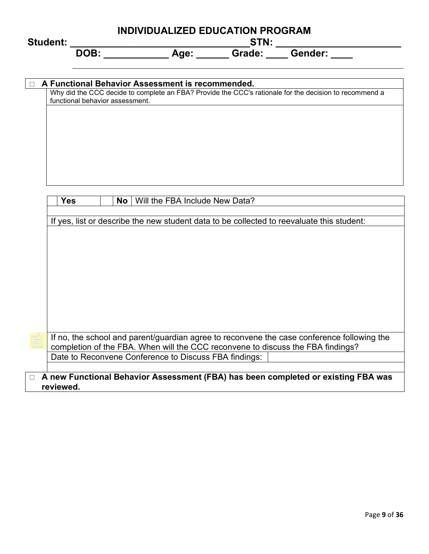# **INDIVIDUALIZED EDUCATION PROGRAM Student: \_\_\_\_\_\_\_\_\_\_\_\_\_\_\_\_\_\_\_\_\_\_\_\_\_\_\_\_\_\_\_\_\_STN: \_\_\_\_\_\_\_\_\_\_\_\_\_\_\_\_\_\_\_\_\_\_\_ DOB: \_\_\_\_\_\_\_\_\_\_\_\_ Age: \_\_\_\_\_\_ Grade: \_\_\_\_ Gender: \_\_\_\_**

|            | Why did the CCC decide to complete an FBA? Provide the CCC's rationale for the decision to recommend a<br>functional behavior assessment. |
|------------|-------------------------------------------------------------------------------------------------------------------------------------------|
|            |                                                                                                                                           |
|            |                                                                                                                                           |
|            |                                                                                                                                           |
|            |                                                                                                                                           |
|            |                                                                                                                                           |
|            |                                                                                                                                           |
|            |                                                                                                                                           |
|            |                                                                                                                                           |
| <b>Yes</b> | <b>No</b><br>Will the FBA Include New Data?                                                                                               |
|            |                                                                                                                                           |
|            |                                                                                                                                           |
|            | If yes, list or describe the new student data to be collected to reevaluate this student:                                                 |
|            |                                                                                                                                           |
|            |                                                                                                                                           |
|            |                                                                                                                                           |
|            |                                                                                                                                           |
|            |                                                                                                                                           |
|            |                                                                                                                                           |
|            |                                                                                                                                           |
|            |                                                                                                                                           |
|            |                                                                                                                                           |
|            |                                                                                                                                           |
|            |                                                                                                                                           |
|            |                                                                                                                                           |
|            |                                                                                                                                           |
|            |                                                                                                                                           |
|            |                                                                                                                                           |
|            |                                                                                                                                           |
|            | If no, the school and parent/guardian agree to reconvene the case conference following the                                                |
|            | completion of the FBA. When will the CCC reconvene to discuss the FBA findings?                                                           |
|            | Date to Reconvene Conference to Discuss FBA findings:                                                                                     |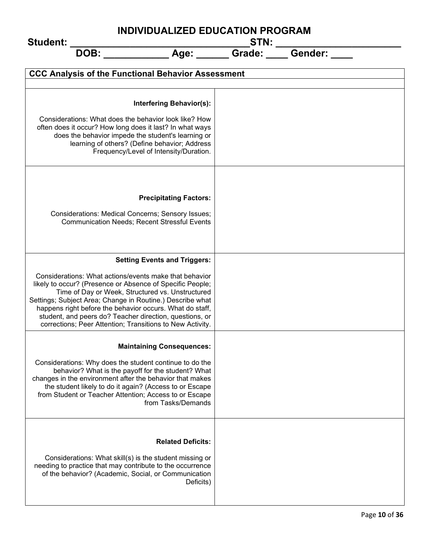| INDIVIDUALIZED EDUCATION PROGRAM<br><b>Student:</b>                                                                                                                                                                                                                                                                                                                                                                                                             |  |  |  |  |
|-----------------------------------------------------------------------------------------------------------------------------------------------------------------------------------------------------------------------------------------------------------------------------------------------------------------------------------------------------------------------------------------------------------------------------------------------------------------|--|--|--|--|
| <b>DOB:</b>                                                                                                                                                                                                                                                                                                                                                                                                                                                     |  |  |  |  |
| <b>CCC Analysis of the Functional Behavior Assessment</b>                                                                                                                                                                                                                                                                                                                                                                                                       |  |  |  |  |
| <b>Interfering Behavior(s):</b><br>Considerations: What does the behavior look like? How<br>often does it occur? How long does it last? In what ways<br>does the behavior impede the student's learning or<br>learning of others? (Define behavior; Address<br>Frequency/Level of Intensity/Duration.                                                                                                                                                           |  |  |  |  |
| <b>Precipitating Factors:</b><br>Considerations: Medical Concerns; Sensory Issues;<br><b>Communication Needs; Recent Stressful Events</b>                                                                                                                                                                                                                                                                                                                       |  |  |  |  |
| <b>Setting Events and Triggers:</b><br>Considerations: What actions/events make that behavior<br>likely to occur? (Presence or Absence of Specific People;<br>Time of Day or Week, Structured vs. Unstructured<br>Settings; Subject Area; Change in Routine.) Describe what<br>happens right before the behavior occurs. What do staff,<br>student, and peers do? Teacher direction, questions, or<br>corrections; Peer Attention; Transitions to New Activity. |  |  |  |  |
| <b>Maintaining Consequences:</b><br>Considerations: Why does the student continue to do the<br>behavior? What is the payoff for the student? What<br>changes in the environment after the behavior that makes<br>the student likely to do it again? (Access to or Escape<br>from Student or Teacher Attention; Access to or Escape<br>from Tasks/Demands                                                                                                        |  |  |  |  |
| <b>Related Deficits:</b><br>Considerations: What skill(s) is the student missing or<br>needing to practice that may contribute to the occurrence<br>of the behavior? (Academic, Social, or Communication<br>Deficits)                                                                                                                                                                                                                                           |  |  |  |  |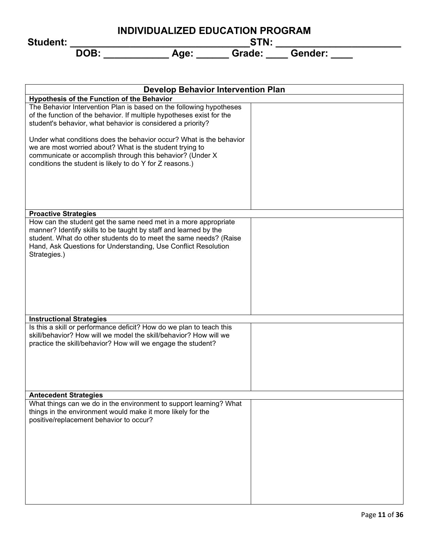|                 | INDIVIDUALIZED EDUCATION PROGRAM |             |        |         |  |  |
|-----------------|----------------------------------|-------------|--------|---------|--|--|
| <b>Student:</b> |                                  | <b>STN:</b> |        |         |  |  |
|                 | DOB:                             | Age:        | Grade: | Gender: |  |  |

| <b>Develop Behavior Intervention Plan</b>                                                                                                                                                                                                                                                  |  |  |  |  |
|--------------------------------------------------------------------------------------------------------------------------------------------------------------------------------------------------------------------------------------------------------------------------------------------|--|--|--|--|
| Hypothesis of the Function of the Behavior                                                                                                                                                                                                                                                 |  |  |  |  |
| The Behavior Intervention Plan is based on the following hypotheses<br>of the function of the behavior. If multiple hypotheses exist for the<br>student's behavior, what behavior is considered a priority?                                                                                |  |  |  |  |
| Under what conditions does the behavior occur? What is the behavior<br>we are most worried about? What is the student trying to<br>communicate or accomplish through this behavior? (Under X<br>conditions the student is likely to do Y for Z reasons.)                                   |  |  |  |  |
| <b>Proactive Strategies</b>                                                                                                                                                                                                                                                                |  |  |  |  |
| How can the student get the same need met in a more appropriate<br>manner? Identify skills to be taught by staff and learned by the<br>student. What do other students do to meet the same needs? (Raise<br>Hand, Ask Questions for Understanding, Use Conflict Resolution<br>Strategies.) |  |  |  |  |
| <b>Instructional Strategies</b>                                                                                                                                                                                                                                                            |  |  |  |  |
| Is this a skill or performance deficit? How do we plan to teach this<br>skill/behavior? How will we model the skill/behavior? How will we<br>practice the skill/behavior? How will we engage the student?                                                                                  |  |  |  |  |
| <b>Antecedent Strategies</b>                                                                                                                                                                                                                                                               |  |  |  |  |
| What things can we do in the environment to support learning? What<br>things in the environment would make it more likely for the<br>positive/replacement behavior to occur?                                                                                                               |  |  |  |  |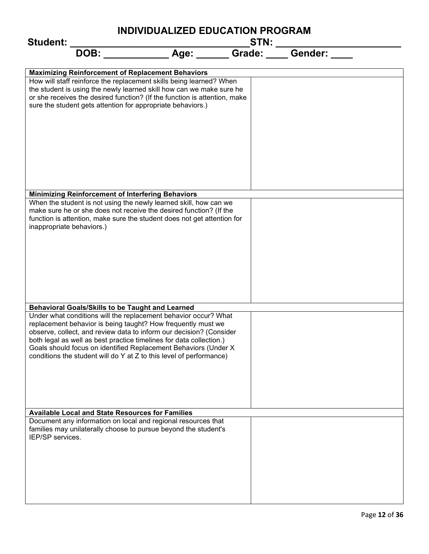| <b>Student:</b>                                                                                                                                                                                                                                                                                                                                                                                                          |                     |  |
|--------------------------------------------------------------------------------------------------------------------------------------------------------------------------------------------------------------------------------------------------------------------------------------------------------------------------------------------------------------------------------------------------------------------------|---------------------|--|
| <b>DOB:</b>                                                                                                                                                                                                                                                                                                                                                                                                              | Age: Grade: Gender: |  |
|                                                                                                                                                                                                                                                                                                                                                                                                                          |                     |  |
| <b>Maximizing Reinforcement of Replacement Behaviors</b><br>How will staff reinforce the replacement skills being learned? When<br>the student is using the newly learned skill how can we make sure he<br>or she receives the desired function? (If the function is attention, make<br>sure the student gets attention for appropriate behaviors.)                                                                      |                     |  |
|                                                                                                                                                                                                                                                                                                                                                                                                                          |                     |  |
| <b>Minimizing Reinforcement of Interfering Behaviors</b>                                                                                                                                                                                                                                                                                                                                                                 |                     |  |
| When the student is not using the newly learned skill, how can we<br>make sure he or she does not receive the desired function? (If the<br>function is attention, make sure the student does not get attention for<br>inappropriate behaviors.)                                                                                                                                                                          |                     |  |
| <b>Behavioral Goals/Skills to be Taught and Learned</b>                                                                                                                                                                                                                                                                                                                                                                  |                     |  |
| Under what conditions will the replacement behavior occur? What<br>replacement behavior is being taught? How frequently must we<br>observe, collect, and review data to inform our decision? (Consider<br>both legal as well as best practice timelines for data collection.)<br>Goals should focus on identified Replacement Behaviors (Under X)<br>conditions the student will do Y at Z to this level of performance) |                     |  |
| <b>Available Local and State Resources for Families</b>                                                                                                                                                                                                                                                                                                                                                                  |                     |  |
| Document any information on local and regional resources that<br>families may unilaterally choose to pursue beyond the student's<br>IEP/SP services.                                                                                                                                                                                                                                                                     |                     |  |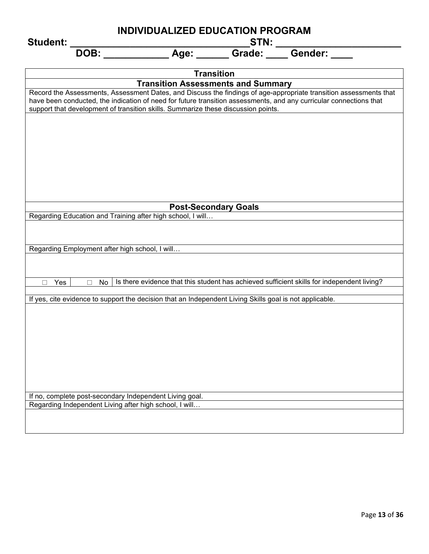| <b>Student:</b>                                                                                                                                                                                         | <b>INDIVIDUALIZED EDUCATION PROGRAM</b><br>_STN: ____________ |                             |                                                                                                                   |  |
|---------------------------------------------------------------------------------------------------------------------------------------------------------------------------------------------------------|---------------------------------------------------------------|-----------------------------|-------------------------------------------------------------------------------------------------------------------|--|
| <b>DOB:</b>                                                                                                                                                                                             | Age: Grade: Gender:                                           |                             |                                                                                                                   |  |
|                                                                                                                                                                                                         |                                                               | <b>Transition</b>           |                                                                                                                   |  |
|                                                                                                                                                                                                         | <b>Transition Assessments and Summary</b>                     |                             |                                                                                                                   |  |
| have been conducted, the indication of need for future transition assessments, and any curricular connections that<br>support that development of transition skills. Summarize these discussion points. |                                                               |                             | Record the Assessments, Assessment Dates, and Discuss the findings of age-appropriate transition assessments that |  |
|                                                                                                                                                                                                         |                                                               |                             |                                                                                                                   |  |
|                                                                                                                                                                                                         |                                                               | <b>Post-Secondary Goals</b> |                                                                                                                   |  |
| Regarding Education and Training after high school, I will                                                                                                                                              |                                                               |                             |                                                                                                                   |  |
|                                                                                                                                                                                                         |                                                               |                             |                                                                                                                   |  |
| Regarding Employment after high school, I will                                                                                                                                                          |                                                               |                             |                                                                                                                   |  |
|                                                                                                                                                                                                         |                                                               |                             |                                                                                                                   |  |
| Yes<br>No<br>П<br>П                                                                                                                                                                                     |                                                               |                             | Is there evidence that this student has achieved sufficient skills for independent living?                        |  |
| If yes, cite evidence to support the decision that an Independent Living Skills goal is not applicable.                                                                                                 |                                                               |                             |                                                                                                                   |  |
|                                                                                                                                                                                                         |                                                               |                             |                                                                                                                   |  |
|                                                                                                                                                                                                         |                                                               |                             |                                                                                                                   |  |
|                                                                                                                                                                                                         |                                                               |                             |                                                                                                                   |  |
| If no, complete post-secondary Independent Living goal.<br>Regarding Independent Living after high school, I will                                                                                       |                                                               |                             |                                                                                                                   |  |
|                                                                                                                                                                                                         |                                                               |                             |                                                                                                                   |  |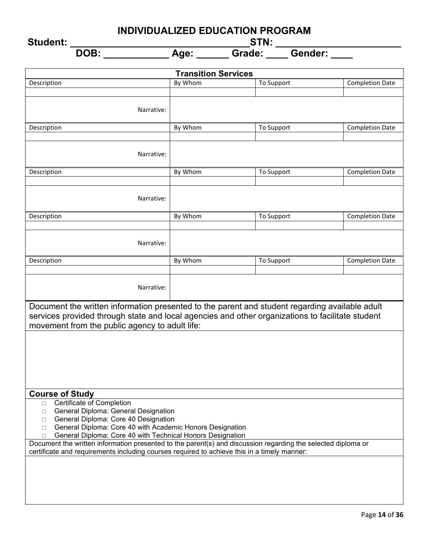**Student: \_\_\_\_\_\_\_\_\_\_\_\_\_\_\_\_\_\_\_\_\_\_\_\_\_\_\_\_\_\_\_\_\_STN: \_\_\_\_\_\_\_\_\_\_\_\_\_\_\_\_\_\_\_\_\_\_\_**

| <b>Transition Services</b>                                                                                                                         |         |            |                        |  |
|----------------------------------------------------------------------------------------------------------------------------------------------------|---------|------------|------------------------|--|
| Description                                                                                                                                        | By Whom | To Support | <b>Completion Date</b> |  |
|                                                                                                                                                    |         |            |                        |  |
| Narrative:                                                                                                                                         |         |            |                        |  |
|                                                                                                                                                    |         |            |                        |  |
| Description                                                                                                                                        | By Whom | To Support | <b>Completion Date</b> |  |
|                                                                                                                                                    |         |            |                        |  |
| Narrative:                                                                                                                                         |         |            |                        |  |
|                                                                                                                                                    |         |            |                        |  |
| Description                                                                                                                                        | By Whom | To Support | <b>Completion Date</b> |  |
|                                                                                                                                                    |         |            |                        |  |
| Narrative:                                                                                                                                         |         |            |                        |  |
|                                                                                                                                                    |         |            |                        |  |
| Description                                                                                                                                        | By Whom | To Support | <b>Completion Date</b> |  |
|                                                                                                                                                    |         |            |                        |  |
| Narrative:                                                                                                                                         |         |            |                        |  |
|                                                                                                                                                    |         |            |                        |  |
| Description                                                                                                                                        | By Whom | To Support | <b>Completion Date</b> |  |
|                                                                                                                                                    |         |            |                        |  |
| Narrative:                                                                                                                                         |         |            |                        |  |
|                                                                                                                                                    |         |            |                        |  |
| Document the written information presented to the parent and student regarding available adult                                                     |         |            |                        |  |
| services provided through state and local agencies and other organizations to facilitate student<br>movement from the public agency to adult life: |         |            |                        |  |
|                                                                                                                                                    |         |            |                        |  |
|                                                                                                                                                    |         |            |                        |  |
|                                                                                                                                                    |         |            |                        |  |
|                                                                                                                                                    |         |            |                        |  |
|                                                                                                                                                    |         |            |                        |  |
|                                                                                                                                                    |         |            |                        |  |
| <b>Course of Study</b><br>Certificate of Completion<br>$\Box$                                                                                      |         |            |                        |  |
| General Diploma: General Designation<br>□                                                                                                          |         |            |                        |  |
| General Diploma: Core 40 Designation<br>П.                                                                                                         |         |            |                        |  |
| General Diploma: Core 40 with Academic Honors Designation<br>$\Box$<br>General Diploma: Core 40 with Technical Honors Designation<br>П             |         |            |                        |  |
| Document the written information presented to the parent(s) and discussion regarding the selected diploma or                                       |         |            |                        |  |
| certificate and requirements including courses required to achieve this in a timely manner:                                                        |         |            |                        |  |
|                                                                                                                                                    |         |            |                        |  |
|                                                                                                                                                    |         |            |                        |  |
|                                                                                                                                                    |         |            |                        |  |
|                                                                                                                                                    |         |            |                        |  |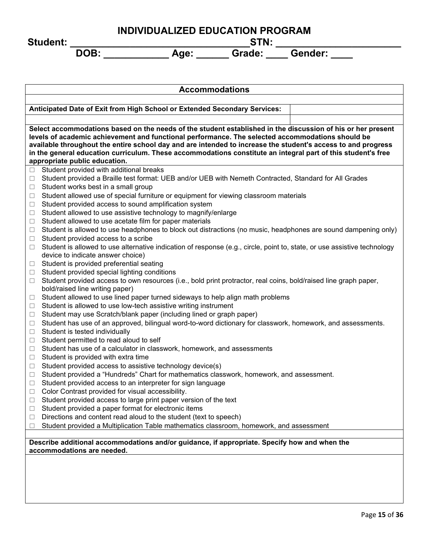**Student: \_\_\_\_\_\_\_\_\_\_\_\_\_\_\_\_\_\_\_\_\_\_\_\_\_\_\_\_\_\_\_\_\_STN: \_\_\_\_\_\_\_\_\_\_\_\_\_\_\_\_\_\_\_\_\_\_\_**

| <b>Accommodations</b>                                                                                                                                      |  |  |  |  |
|------------------------------------------------------------------------------------------------------------------------------------------------------------|--|--|--|--|
|                                                                                                                                                            |  |  |  |  |
| Anticipated Date of Exit from High School or Extended Secondary Services:                                                                                  |  |  |  |  |
| Select accommodations based on the needs of the student established in the discussion of his or her present                                                |  |  |  |  |
| levels of academic achievement and functional performance. The selected accommodations should be                                                           |  |  |  |  |
| available throughout the entire school day and are intended to increase the student's access to and progress                                               |  |  |  |  |
| in the general education curriculum. These accommodations constitute an integral part of this student's free                                               |  |  |  |  |
| appropriate public education.<br>Student provided with additional breaks<br>$\Box$                                                                         |  |  |  |  |
| Student provided a Braille test format: UEB and/or UEB with Nemeth Contracted, Standard for All Grades<br>□                                                |  |  |  |  |
| Student works best in a small group<br>□                                                                                                                   |  |  |  |  |
| Student allowed use of special furniture or equipment for viewing classroom materials<br>□                                                                 |  |  |  |  |
| Student provided access to sound amplification system<br>□                                                                                                 |  |  |  |  |
| Student allowed to use assistive technology to magnify/enlarge<br>□                                                                                        |  |  |  |  |
| Student allowed to use acetate film for paper materials<br>□                                                                                               |  |  |  |  |
| Student is allowed to use headphones to block out distractions (no music, headphones are sound dampening only)<br>□                                        |  |  |  |  |
| Student provided access to a scribe<br>□                                                                                                                   |  |  |  |  |
| Student is allowed to use alternative indication of response (e.g., circle, point to, state, or use assistive technology<br>п                              |  |  |  |  |
| device to indicate answer choice)                                                                                                                          |  |  |  |  |
| Student is provided preferential seating<br>⊔<br>Student provided special lighting conditions<br>□                                                         |  |  |  |  |
| Student provided access to own resources (i.e., bold print protractor, real coins, bold/raised line graph paper,<br>□                                      |  |  |  |  |
| bold/raised line writing paper)                                                                                                                            |  |  |  |  |
| Student allowed to use lined paper turned sideways to help align math problems<br>$\Box$                                                                   |  |  |  |  |
| Student is allowed to use low-tech assistive writing instrument<br>$\Box$                                                                                  |  |  |  |  |
| Student may use Scratch/blank paper (including lined or graph paper)<br>□                                                                                  |  |  |  |  |
| Student has use of an approved, bilingual word-to-word dictionary for classwork, homework, and assessments.<br>$\Box$                                      |  |  |  |  |
| Student is tested individually<br>$\Box$                                                                                                                   |  |  |  |  |
| Student permitted to read aloud to self<br>□                                                                                                               |  |  |  |  |
| Student has use of a calculator in classwork, homework, and assessments<br>□                                                                               |  |  |  |  |
| Student is provided with extra time<br>□                                                                                                                   |  |  |  |  |
| Student provided access to assistive technology device(s)<br>⊔<br>Student provided a "Hundreds" Chart for mathematics classwork, homework, and assessment. |  |  |  |  |
| □<br>Student provided access to an interpreter for sign language<br>□                                                                                      |  |  |  |  |
| Color Contrast provided for visual accessibility.<br>□                                                                                                     |  |  |  |  |
| Student provided access to large print paper version of the text<br>⊔                                                                                      |  |  |  |  |
| Student provided a paper format for electronic items<br>⊔                                                                                                  |  |  |  |  |
| Directions and content read aloud to the student (text to speech)<br>□                                                                                     |  |  |  |  |
| Student provided a Multiplication Table mathematics classroom, homework, and assessment<br>□                                                               |  |  |  |  |
|                                                                                                                                                            |  |  |  |  |
| Describe additional accommodations and/or guidance, if appropriate. Specify how and when the<br>accommodations are needed.                                 |  |  |  |  |
|                                                                                                                                                            |  |  |  |  |
|                                                                                                                                                            |  |  |  |  |
|                                                                                                                                                            |  |  |  |  |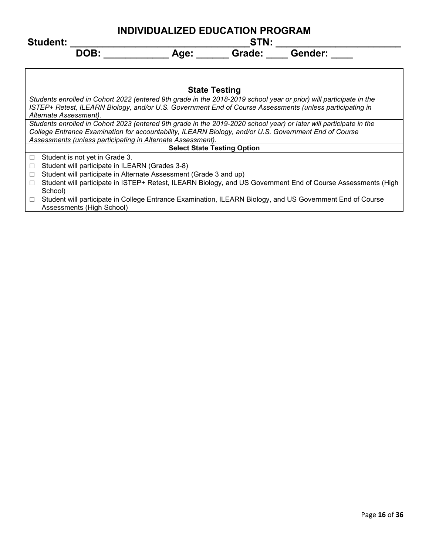| Student: |     |   |               |  |
|----------|-----|---|---------------|--|
|          | - - | . | $P_{\rm max}$ |  |

| <b>State Testing</b>                                                                                               |  |  |  |  |
|--------------------------------------------------------------------------------------------------------------------|--|--|--|--|
| Students enrolled in Cohort 2022 (entered 9th grade in the 2018-2019 school year or prior) will participate in the |  |  |  |  |
| ISTEP+ Retest, ILEARN Biology, and/or U.S. Government End of Course Assessments (unless participating in           |  |  |  |  |
| Alternate Assessment).                                                                                             |  |  |  |  |
| Students enrolled in Cohort 2023 (entered 9th grade in the 2019-2020 school year) or later will participate in the |  |  |  |  |
| College Entrance Examination for accountability, ILEARN Biology, and/or U.S. Government End of Course              |  |  |  |  |
| Assessments (unless participating in Alternate Assessment).                                                        |  |  |  |  |
| <b>Select State Testing Option</b>                                                                                 |  |  |  |  |
| Student is not yet in Grade 3.<br>П                                                                                |  |  |  |  |
| Student will participate in ILEARN (Grades 3-8)<br>$\Box$                                                          |  |  |  |  |
| Student will participate in Alternate Assessment (Grade 3 and up)<br>$\Box$                                        |  |  |  |  |
| Student will participate in ISTEP+ Retest, ILEARN Biology, and US Government End of Course Assessments (High<br>П  |  |  |  |  |
| School)                                                                                                            |  |  |  |  |
| Student will participate in College Entrance Examination, ILEARN Biology, and US Government End of Course<br>П     |  |  |  |  |
| Assessments (High School)                                                                                          |  |  |  |  |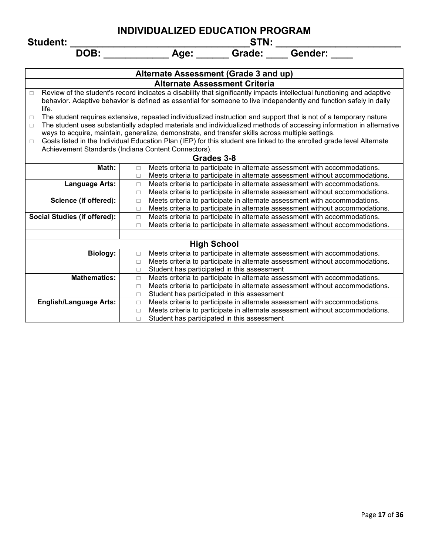**Student: \_\_\_\_\_\_\_\_\_\_\_\_\_\_\_\_\_\_\_\_\_\_\_\_\_\_\_\_\_\_\_\_\_STN: \_\_\_\_\_\_\_\_\_\_\_\_\_\_\_\_\_\_\_\_\_\_\_**

|                                                                                                                             | Alternate Assessment (Grade 3 and up)                                                                                  |  |  |  |  |
|-----------------------------------------------------------------------------------------------------------------------------|------------------------------------------------------------------------------------------------------------------------|--|--|--|--|
|                                                                                                                             | <b>Alternate Assessment Criteria</b>                                                                                   |  |  |  |  |
| $\Box$                                                                                                                      | Review of the student's record indicates a disability that significantly impacts intellectual functioning and adaptive |  |  |  |  |
|                                                                                                                             | behavior. Adaptive behavior is defined as essential for someone to live independently and function safely in daily     |  |  |  |  |
| life.                                                                                                                       |                                                                                                                        |  |  |  |  |
| $\Box$                                                                                                                      | The student requires extensive, repeated individualized instruction and support that is not of a temporary nature      |  |  |  |  |
| $\Box$                                                                                                                      | The student uses substantially adapted materials and individualized methods of accessing information in alternative    |  |  |  |  |
|                                                                                                                             | ways to acquire, maintain, generalize, demonstrate, and transfer skills across multiple settings.                      |  |  |  |  |
| $\Box$                                                                                                                      | Goals listed in the Individual Education Plan (IEP) for this student are linked to the enrolled grade level Alternate  |  |  |  |  |
|                                                                                                                             | Achievement Standards (Indiana Content Connectors).                                                                    |  |  |  |  |
|                                                                                                                             | Grades 3-8                                                                                                             |  |  |  |  |
| Math:                                                                                                                       | Meets criteria to participate in alternate assessment with accommodations.<br>$\Box$                                   |  |  |  |  |
|                                                                                                                             | Meets criteria to participate in alternate assessment without accommodations.<br>$\Box$                                |  |  |  |  |
| <b>Language Arts:</b>                                                                                                       | Meets criteria to participate in alternate assessment with accommodations.<br>$\Box$                                   |  |  |  |  |
|                                                                                                                             | Meets criteria to participate in alternate assessment without accommodations.<br>$\Box$                                |  |  |  |  |
| Science (if offered):                                                                                                       | Meets criteria to participate in alternate assessment with accommodations.<br>$\Box$                                   |  |  |  |  |
| Meets criteria to participate in alternate assessment without accommodations.<br>$\Box$                                     |                                                                                                                        |  |  |  |  |
| <b>Social Studies (if offered):</b><br>Meets criteria to participate in alternate assessment with accommodations.<br>$\Box$ |                                                                                                                        |  |  |  |  |
| Meets criteria to participate in alternate assessment without accommodations.<br>$\Box$                                     |                                                                                                                        |  |  |  |  |
|                                                                                                                             |                                                                                                                        |  |  |  |  |
|                                                                                                                             | <b>High School</b>                                                                                                     |  |  |  |  |
| <b>Biology:</b>                                                                                                             | Meets criteria to participate in alternate assessment with accommodations.<br>$\Box$                                   |  |  |  |  |
|                                                                                                                             | Meets criteria to participate in alternate assessment without accommodations.<br>$\Box$                                |  |  |  |  |
|                                                                                                                             | Student has participated in this assessment<br>П                                                                       |  |  |  |  |
| <b>Mathematics:</b>                                                                                                         | Meets criteria to participate in alternate assessment with accommodations.<br>$\Box$                                   |  |  |  |  |
|                                                                                                                             | Meets criteria to participate in alternate assessment without accommodations.<br>$\Box$                                |  |  |  |  |
|                                                                                                                             | Student has participated in this assessment<br>$\Box$                                                                  |  |  |  |  |
| <b>English/Language Arts:</b>                                                                                               | Meets criteria to participate in alternate assessment with accommodations.<br>$\Box$                                   |  |  |  |  |
|                                                                                                                             | Meets criteria to participate in alternate assessment without accommodations.<br>$\Box$                                |  |  |  |  |
|                                                                                                                             | Student has participated in this assessment<br>$\Box$                                                                  |  |  |  |  |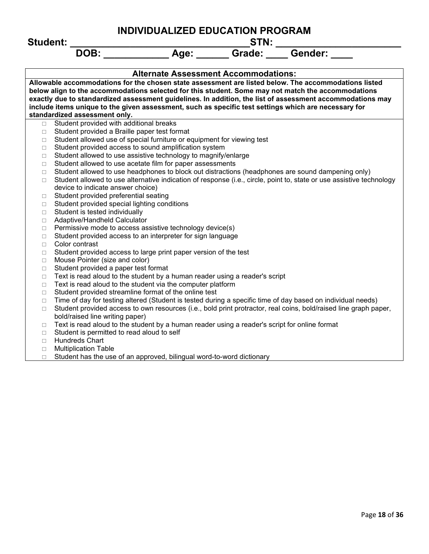**INDIVIDUALIZED EDUCATION PROGRAM Student: \_\_\_\_\_\_\_\_\_\_\_\_\_\_\_\_\_\_\_\_\_\_\_\_\_\_\_\_\_\_\_\_\_STN: \_\_\_\_\_\_\_\_\_\_\_\_\_\_\_\_\_\_\_\_\_\_\_** DOB: Age: Grade: Gender: **Alternate Assessment Accommodations: Allowable accommodations for the chosen state assessment are listed below. The accommodations listed below align to the accommodations selected for this student. Some may not match the accommodations exactly due to standardized assessment guidelines. In addition, the list of assessment accommodations may include items unique to the given assessment, such as specific test settings which are necessary for standardized assessment only.**  $\Box$  Student provided with additional breaks  $\Box$  Student provided a Braille paper test format  $\Box$  Student allowed use of special furniture or equipment for viewing test  $\Box$  Student provided access to sound amplification system  $\Box$  Student allowed to use assistive technology to magnify/enlarge  $\Box$  Student allowed to use acetate film for paper assessments  $\Box$  Student allowed to use headphones to block out distractions (headphones are sound dampening only)  $\Box$  Student allowed to use alternative indication of response (i.e., circle, point to, state or use assistive technology device to indicate answer choice)  $\Box$  Student provided preferential seating  $\Box$  Student provided special lighting conditions  $\Box$  Student is tested individually □ Adaptive/Handheld Calculator  $\Box$  Permissive mode to access assistive technology device(s)  $\Box$  Student provided access to an interpreter for sign language □ Color contrast  $\Box$  Student provided access to large print paper version of the test □ Mouse Pointer (size and color)  $\Box$  Student provided a paper test format  $\Box$  Text is read aloud to the student by a human reader using a reader's script  $\Box$  Text is read aloud to the student via the computer platform □ Student provided streamline format of the online test  $\Box$  Time of day for testing altered (Student is tested during a specific time of day based on individual needs)  $\Box$  Student provided access to own resources (i.e., bold print protractor, real coins, bold/raised line graph paper, bold/raised line writing paper)  $\Box$  Text is read aloud to the student by a human reader using a reader's script for online format  $\Box$  Student is permitted to read aloud to self □ Hundreds Chart □ Multiplication Table

 $\Box$  Student has the use of an approved, bilingual word-to-word dictionary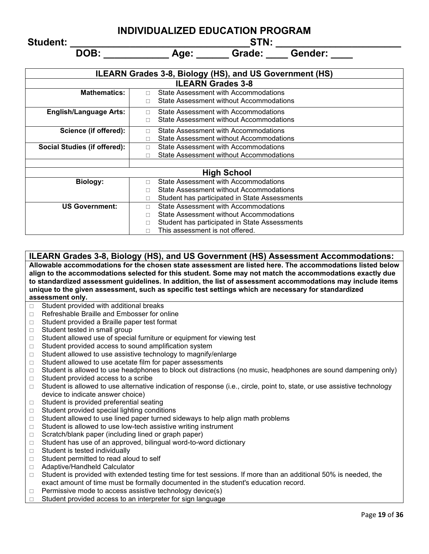**Student: \_\_\_\_\_\_\_\_\_\_\_\_\_\_\_\_\_\_\_\_\_\_\_\_\_\_\_\_\_\_\_\_\_STN: \_\_\_\_\_\_\_\_\_\_\_\_\_\_\_\_\_\_\_\_\_\_\_**

**DOB:** Age: Grade: Gender:

| <b>ILEARN Grades 3-8, Biology (HS), and US Government (HS)</b> |                                                    |  |  |  |
|----------------------------------------------------------------|----------------------------------------------------|--|--|--|
|                                                                | <b>ILEARN Grades 3-8</b>                           |  |  |  |
| <b>Mathematics:</b>                                            | State Assessment with Accommodations<br>п          |  |  |  |
|                                                                | State Assessment without Accommodations<br>П       |  |  |  |
| <b>English/Language Arts:</b>                                  | State Assessment with Accommodations<br>п          |  |  |  |
|                                                                | State Assessment without Accommodations<br>П       |  |  |  |
| Science (if offered):                                          | State Assessment with Accommodations<br>П          |  |  |  |
|                                                                | State Assessment without Accommodations            |  |  |  |
| <b>Social Studies (if offered):</b>                            | State Assessment with Accommodations<br>$\Box$     |  |  |  |
|                                                                | State Assessment without Accommodations<br>П       |  |  |  |
|                                                                |                                                    |  |  |  |
|                                                                | <b>High School</b>                                 |  |  |  |
| <b>Biology:</b>                                                | State Assessment with Accommodations<br>П          |  |  |  |
|                                                                | State Assessment without Accommodations<br>П       |  |  |  |
|                                                                | Student has participated in State Assessments<br>П |  |  |  |
| <b>US Government:</b>                                          | State Assessment with Accommodations<br>П          |  |  |  |
|                                                                | State Assessment without Accommodations<br>П       |  |  |  |
|                                                                | Student has participated in State Assessments<br>П |  |  |  |

**ILEARN Grades 3-8, Biology (HS), and US Government (HS) Assessment Accommodations: Allowable accommodations for the chosen state assessment are listed here. The accommodations listed below align to the accommodations selected for this student. Some may not match the accommodations exactly due to standardized assessment guidelines. In addition, the list of assessment accommodations may include items unique to the given assessment, such as specific test settings which are necessary for standardized assessment only.**

 $\Box$  This assessment is not offered.

- $\Box$  Student provided with additional breaks
- $\Box$  Refreshable Braille and Embosser for online
- $\Box$  Student provided a Braille paper test format
- $\Box$  Student tested in small group
- $\Box$  Student allowed use of special furniture or equipment for viewing test
- $\Box$  Student provided access to sound amplification system
- $\Box$  Student allowed to use assistive technology to magnify/enlarge
- $\Box$  Student allowed to use acetate film for paper assessments
- $\Box$  Student is allowed to use headphones to block out distractions (no music, headphones are sound dampening only)
- $\Box$  Student provided access to a scribe
- $\Box$  Student is allowed to use alternative indication of response (i.e., circle, point to, state, or use assistive technology device to indicate answer choice)
- $\Box$  Student is provided preferential seating
- $\Box$  Student provided special lighting conditions
- $\Box$  Student allowed to use lined paper turned sideways to help align math problems
- $\Box$  Student is allowed to use low-tech assistive writing instrument
- $\Box$  Scratch/blank paper (including lined or graph paper)
- □ Student has use of an approved, bilingual word-to-word dictionary
- $\Box$  Student is tested individually
- $\Box$  Student permitted to read aloud to self
- □ Adaptive/Handheld Calculator
- $\Box$  Student is provided with extended testing time for test sessions. If more than an additional 50% is needed, the exact amount of time must be formally documented in the student's education record.
- $\Box$  Permissive mode to access assistive technology device(s)
- $\Box$  Student provided access to an interpreter for sign language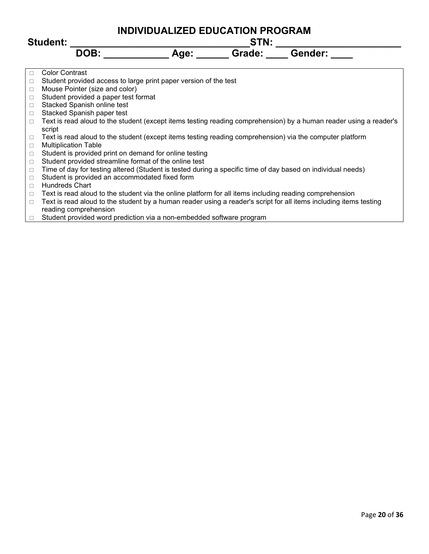| <b>Student:</b>            |                                                                                                                   |                               | <b>INDIVIDUALIZED EDUCATION PROGRAM</b><br>STN: |         |  |  |
|----------------------------|-------------------------------------------------------------------------------------------------------------------|-------------------------------|-------------------------------------------------|---------|--|--|
|                            | DOB:                                                                                                              | Age: $\overline{\phantom{a}}$ | Grade:                                          | Gender: |  |  |
| <b>Color Contrast</b>      |                                                                                                                   |                               |                                                 |         |  |  |
| □                          | Student provided access to large print paper version of the test                                                  |                               |                                                 |         |  |  |
| $\Box$                     | Mouse Pointer (size and color)                                                                                    |                               |                                                 |         |  |  |
| □                          | Student provided a paper test format                                                                              |                               |                                                 |         |  |  |
| $\Box$                     | Stacked Spanish online test                                                                                       |                               |                                                 |         |  |  |
| □                          | Stacked Spanish paper test                                                                                        |                               |                                                 |         |  |  |
| $\Box$<br>script           | Text is read aloud to the student (except items testing reading comprehension) by a human reader using a reader's |                               |                                                 |         |  |  |
| $\Box$                     | Text is read aloud to the student (except items testing reading comprehension) via the computer platform          |                               |                                                 |         |  |  |
| $\Box$                     | <b>Multiplication Table</b>                                                                                       |                               |                                                 |         |  |  |
| $\Box$                     | Student is provided print on demand for online testing                                                            |                               |                                                 |         |  |  |
| $\Box$                     | Student provided streamline format of the online test                                                             |                               |                                                 |         |  |  |
| $\Box$                     | Time of day for testing altered (Student is tested during a specific time of day based on individual needs)       |                               |                                                 |         |  |  |
| $\Box$                     | Student is provided an accommodated fixed form                                                                    |                               |                                                 |         |  |  |
| <b>Hundreds Chart</b><br>П |                                                                                                                   |                               |                                                 |         |  |  |
|                            | Tayt is nood aland to the atudent via the antine platform for all items including reading aspensebeneisp          |                               |                                                 |         |  |  |

- $\Box$  Text is read aloud to the student via the online platform for all items including reading comprehension
- □ Text is read aloud to the student by a human reader using a reader's script for all items including items testing reading comprehension
- □ Student provided word prediction via a non-embedded software program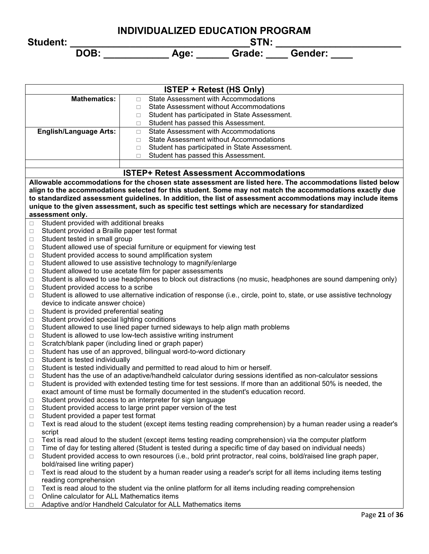|                 | INDIVIDUALIZED EDUCATION PROGRAM |             |        |         |  |  |  |
|-----------------|----------------------------------|-------------|--------|---------|--|--|--|
| <b>Student:</b> |                                  | <b>STN:</b> |        |         |  |  |  |
|                 | DOB:                             | Age:        | Grade: | Gender: |  |  |  |

| <b>ISTEP + Retest (HS Only)</b>                   |                                                                                                                                 |  |  |  |  |  |
|---------------------------------------------------|---------------------------------------------------------------------------------------------------------------------------------|--|--|--|--|--|
| <b>Mathematics:</b>                               | <b>State Assessment with Accommodations</b><br>П                                                                                |  |  |  |  |  |
|                                                   | <b>State Assessment without Accommodations</b><br>$\Box$                                                                        |  |  |  |  |  |
|                                                   | Student has participated in State Assessment.<br>□                                                                              |  |  |  |  |  |
|                                                   | Student has passed this Assessment.<br>$\Box$                                                                                   |  |  |  |  |  |
| <b>English/Language Arts:</b>                     | State Assessment with Accommodations<br>$\Box$                                                                                  |  |  |  |  |  |
|                                                   | <b>State Assessment without Accommodations</b><br>$\Box$                                                                        |  |  |  |  |  |
|                                                   | Student has participated in State Assessment.<br>□                                                                              |  |  |  |  |  |
|                                                   | Student has passed this Assessment.<br>П                                                                                        |  |  |  |  |  |
|                                                   |                                                                                                                                 |  |  |  |  |  |
|                                                   | <b>ISTEP+ Retest Assessment Accommodations</b>                                                                                  |  |  |  |  |  |
|                                                   | Allowable accommodations for the chosen state assessment are listed here. The accommodations listed below                       |  |  |  |  |  |
|                                                   | align to the accommodations selected for this student. Some may not match the accommodations exactly due                        |  |  |  |  |  |
|                                                   | to standardized assessment guidelines. In addition, the list of assessment accommodations may include items                     |  |  |  |  |  |
|                                                   | unique to the given assessment, such as specific test settings which are necessary for standardized                             |  |  |  |  |  |
| assessment only.                                  |                                                                                                                                 |  |  |  |  |  |
| Student provided with additional breaks<br>□      |                                                                                                                                 |  |  |  |  |  |
| Student provided a Braille paper test format<br>□ |                                                                                                                                 |  |  |  |  |  |
| Student tested in small group<br>□                |                                                                                                                                 |  |  |  |  |  |
| □                                                 | Student allowed use of special furniture or equipment for viewing test                                                          |  |  |  |  |  |
| □                                                 | Student provided access to sound amplification system                                                                           |  |  |  |  |  |
| $\Box$                                            | Student allowed to use assistive technology to magnify/enlarge                                                                  |  |  |  |  |  |
| □                                                 | Student allowed to use acetate film for paper assessments                                                                       |  |  |  |  |  |
| □                                                 | Student is allowed to use headphones to block out distractions (no music, headphones are sound dampening only)                  |  |  |  |  |  |
| Student provided access to a scribe<br>$\Box$     |                                                                                                                                 |  |  |  |  |  |
| $\Box$                                            | Student is allowed to use alternative indication of response (i.e., circle, point to, state, or use assistive technology        |  |  |  |  |  |
| device to indicate answer choice)                 |                                                                                                                                 |  |  |  |  |  |
| Student is provided preferential seating<br>□     |                                                                                                                                 |  |  |  |  |  |
| Student provided special lighting conditions<br>□ |                                                                                                                                 |  |  |  |  |  |
| □                                                 | Student allowed to use lined paper turned sideways to help align math problems                                                  |  |  |  |  |  |
| □                                                 | Student is allowed to use low-tech assistive writing instrument                                                                 |  |  |  |  |  |
| □                                                 | Scratch/blank paper (including lined or graph paper)                                                                            |  |  |  |  |  |
| □                                                 | Student has use of an approved, bilingual word-to-word dictionary                                                               |  |  |  |  |  |
| Student is tested individually<br>$\Box$          |                                                                                                                                 |  |  |  |  |  |
| □                                                 | Student is tested individually and permitted to read aloud to him or herself.                                                   |  |  |  |  |  |
| $\Box$                                            | Student has the use of an adaptive/handheld calculator during sessions identified as non-calculator sessions                    |  |  |  |  |  |
| $\Box$                                            | Student is provided with extended testing time for test sessions. If more than an additional 50% is needed, the                 |  |  |  |  |  |
|                                                   | exact amount of time must be formally documented in the student's education record.                                             |  |  |  |  |  |
| $\Box$                                            | Student provided access to an interpreter for sign language<br>Student provided access to large print paper version of the test |  |  |  |  |  |
| □<br>Student provided a paper test format         |                                                                                                                                 |  |  |  |  |  |
| □                                                 | Text is read aloud to the student (except items testing reading comprehension) by a human reader using a reader's               |  |  |  |  |  |
| □<br>script                                       |                                                                                                                                 |  |  |  |  |  |
|                                                   | Text is read aloud to the student (except items testing reading comprehension) via the computer platform                        |  |  |  |  |  |
| □<br>$\Box$                                       | Time of day for testing altered (Student is tested during a specific time of day based on individual needs)                     |  |  |  |  |  |
| $\Box$                                            | Student provided access to own resources (i.e., bold print protractor, real coins, bold/raised line graph paper,                |  |  |  |  |  |
| bold/raised line writing paper)                   |                                                                                                                                 |  |  |  |  |  |
| $\Box$                                            | Text is read aloud to the student by a human reader using a reader's script for all items including items testing               |  |  |  |  |  |
| reading comprehension                             |                                                                                                                                 |  |  |  |  |  |
| □                                                 | Text is read aloud to the student via the online platform for all items including reading comprehension                         |  |  |  |  |  |
| Online calculator for ALL Mathematics items<br>□  |                                                                                                                                 |  |  |  |  |  |
| $\Box$                                            | Adaptive and/or Handheld Calculator for ALL Mathematics items                                                                   |  |  |  |  |  |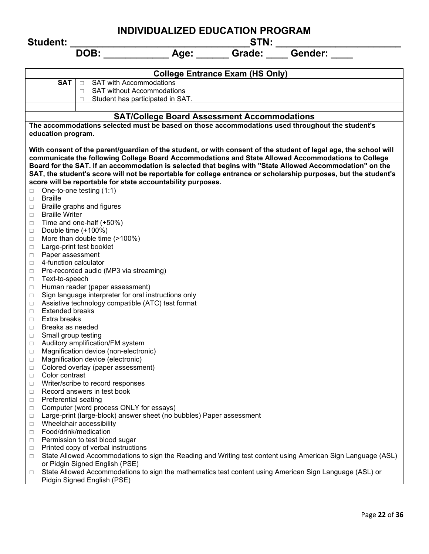**INDIVIDUALIZED EDUCATION PROGRAM Student: \_\_\_\_\_\_\_\_\_\_\_\_\_\_\_\_\_\_\_\_\_\_\_\_\_\_\_\_\_\_\_\_\_STN: \_\_\_\_\_\_\_\_\_\_\_\_\_\_\_\_\_\_\_\_\_\_\_** DOB: **Age:** Grade: Gender: **College Entrance Exam (HS Only) SAT**  $\boxed{\Box}$  SAT with Accommodations □ SAT without Accommodations  $\Box$  Student has participated in SAT. **SAT/College Board Assessment Accommodations The accommodations selected must be based on those accommodations used throughout the student's education program. With consent of the parent/guardian of the student, or with consent of the student of legal age, the school will communicate the following College Board Accommodations and State Allowed Accommodations to College Board for the SAT. If an accommodation is selected that begins with "State Allowed Accommodation" on the SAT, the student's score will not be reportable for college entrance or scholarship purposes, but the student's score will be reportable for state accountability purposes.**  $\Box$  One-to-one testing (1:1) D Braille  $\Box$  Braille graphs and figures □ Braille Writer  $\Box$  Time and one-half (+50%)  $\Box$  Double time (+100%) □ More than double time (>100%) □ Large-print test booklet **Paper assessment** □ 4-function calculator  $\Box$  Pre-recorded audio (MP3 via streaming) □ Text-to-speech  $\Box$  Human reader (paper assessment)  $\Box$  Sign language interpreter for oral instructions only  $\Box$  Assistive technology compatible (ATC) test format  $\Box$  Extended breaks  $\Box$  Extra breaks □ Breaks as needed □ Small group testing □ Auditory amplification/FM system □ Magnification device (non-electronic) □ Magnification device (electronic) □ Colored overlay (paper assessment) Color contrast □ Writer/scribe to record responses  $\Box$  Record answers in test book  $\Box$  Preferential seating □ Computer (word process ONLY for essays) □ Large-print (large-block) answer sheet (no bubbles) Paper assessment □ Wheelchair accessibility □ Food/drink/medication  $\Box$  Permission to test blood sugar  $\Box$  Printed copy of verbal instructions □ State Allowed Accommodations to sign the Reading and Writing test content using American Sign Language (ASL) or Pidgin Signed English (PSE)

□ State Allowed Accommodations to sign the mathematics test content using American Sign Language (ASL) or Pidgin Signed English (PSE)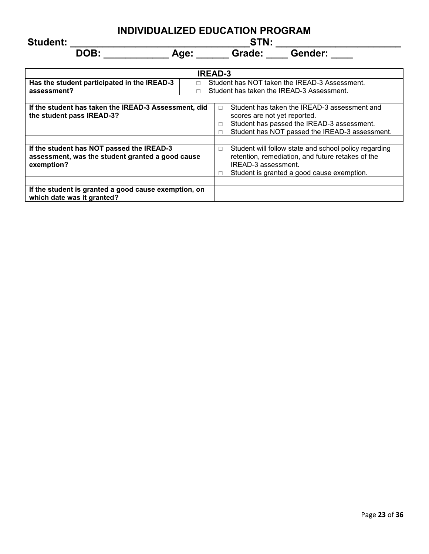**Student: \_\_\_\_\_\_\_\_\_\_\_\_\_\_\_\_\_\_\_\_\_\_\_\_\_\_\_\_\_\_\_\_\_STN: \_\_\_\_\_\_\_\_\_\_\_\_\_\_\_\_\_\_\_\_\_\_\_**

| <b>IREAD-3</b>                                                                                                                                                |                                                                                                                                                                                                  |  |  |  |  |
|---------------------------------------------------------------------------------------------------------------------------------------------------------------|--------------------------------------------------------------------------------------------------------------------------------------------------------------------------------------------------|--|--|--|--|
| Has the student participated in the IREAD-3<br>Student has NOT taken the IREAD-3 Assessment.<br>П<br>assessment?<br>Student has taken the IREAD-3 Assessment. |                                                                                                                                                                                                  |  |  |  |  |
|                                                                                                                                                               |                                                                                                                                                                                                  |  |  |  |  |
| If the student has taken the IREAD-3 Assessment, did<br>the student pass IREAD-3?                                                                             | Student has taken the IREAD-3 assessment and<br>$\Box$<br>scores are not yet reported.<br>Student has passed the IREAD-3 assessment.<br>П<br>Student has NOT passed the IREAD-3 assessment.<br>П |  |  |  |  |
| If the student has NOT passed the IREAD-3<br>assessment, was the student granted a good cause<br>exemption?                                                   | Student will follow state and school policy regarding<br>$\Box$<br>retention, remediation, and future retakes of the<br>IREAD-3 assessment.<br>Student is granted a good cause exemption.        |  |  |  |  |
| If the student is granted a good cause exemption, on<br>which date was it granted?                                                                            |                                                                                                                                                                                                  |  |  |  |  |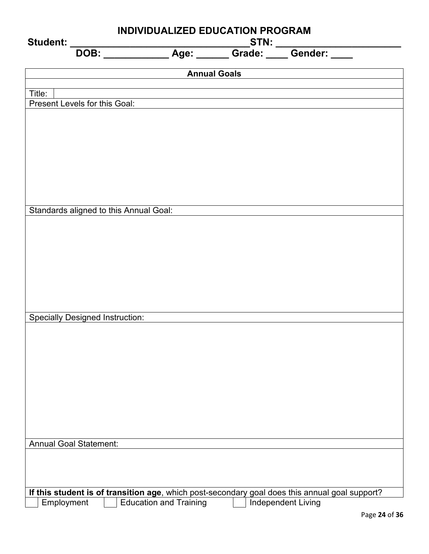| <b>Annual Goals</b><br>Title:<br>Present Levels for this Goal:                                                                                                      | INDIVIDUALIZED EDUCATION PROGRAM<br>Student: |  |  |  |  |
|---------------------------------------------------------------------------------------------------------------------------------------------------------------------|----------------------------------------------|--|--|--|--|
|                                                                                                                                                                     |                                              |  |  |  |  |
|                                                                                                                                                                     |                                              |  |  |  |  |
|                                                                                                                                                                     |                                              |  |  |  |  |
|                                                                                                                                                                     |                                              |  |  |  |  |
|                                                                                                                                                                     |                                              |  |  |  |  |
|                                                                                                                                                                     |                                              |  |  |  |  |
|                                                                                                                                                                     |                                              |  |  |  |  |
|                                                                                                                                                                     |                                              |  |  |  |  |
|                                                                                                                                                                     |                                              |  |  |  |  |
|                                                                                                                                                                     |                                              |  |  |  |  |
|                                                                                                                                                                     |                                              |  |  |  |  |
| Standards aligned to this Annual Goal:                                                                                                                              |                                              |  |  |  |  |
|                                                                                                                                                                     |                                              |  |  |  |  |
|                                                                                                                                                                     |                                              |  |  |  |  |
|                                                                                                                                                                     |                                              |  |  |  |  |
|                                                                                                                                                                     |                                              |  |  |  |  |
|                                                                                                                                                                     |                                              |  |  |  |  |
|                                                                                                                                                                     |                                              |  |  |  |  |
|                                                                                                                                                                     |                                              |  |  |  |  |
| <b>Specially Designed Instruction:</b>                                                                                                                              |                                              |  |  |  |  |
|                                                                                                                                                                     |                                              |  |  |  |  |
|                                                                                                                                                                     |                                              |  |  |  |  |
|                                                                                                                                                                     |                                              |  |  |  |  |
|                                                                                                                                                                     |                                              |  |  |  |  |
|                                                                                                                                                                     |                                              |  |  |  |  |
|                                                                                                                                                                     |                                              |  |  |  |  |
|                                                                                                                                                                     |                                              |  |  |  |  |
|                                                                                                                                                                     |                                              |  |  |  |  |
| <b>Annual Goal Statement:</b>                                                                                                                                       |                                              |  |  |  |  |
|                                                                                                                                                                     |                                              |  |  |  |  |
|                                                                                                                                                                     |                                              |  |  |  |  |
|                                                                                                                                                                     |                                              |  |  |  |  |
| If this student is of transition age, which post-secondary goal does this annual goal support?<br>Independent Living<br><b>Education and Training</b><br>Employment |                                              |  |  |  |  |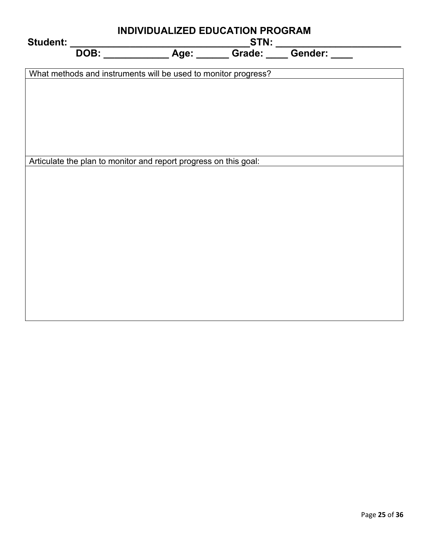| Student: |                                                                  | INDIVIDUALIZED EDUCATION PROGRAM |  |  |  |  |  |  |
|----------|------------------------------------------------------------------|----------------------------------|--|--|--|--|--|--|
|          |                                                                  |                                  |  |  |  |  |  |  |
|          | What methods and instruments will be used to monitor progress?   |                                  |  |  |  |  |  |  |
|          |                                                                  |                                  |  |  |  |  |  |  |
|          |                                                                  |                                  |  |  |  |  |  |  |
|          |                                                                  |                                  |  |  |  |  |  |  |
|          |                                                                  |                                  |  |  |  |  |  |  |
|          | Articulate the plan to monitor and report progress on this goal: |                                  |  |  |  |  |  |  |
|          |                                                                  |                                  |  |  |  |  |  |  |
|          |                                                                  |                                  |  |  |  |  |  |  |
|          |                                                                  |                                  |  |  |  |  |  |  |
|          |                                                                  |                                  |  |  |  |  |  |  |
|          |                                                                  |                                  |  |  |  |  |  |  |
|          |                                                                  |                                  |  |  |  |  |  |  |
|          |                                                                  |                                  |  |  |  |  |  |  |
|          |                                                                  |                                  |  |  |  |  |  |  |
|          |                                                                  |                                  |  |  |  |  |  |  |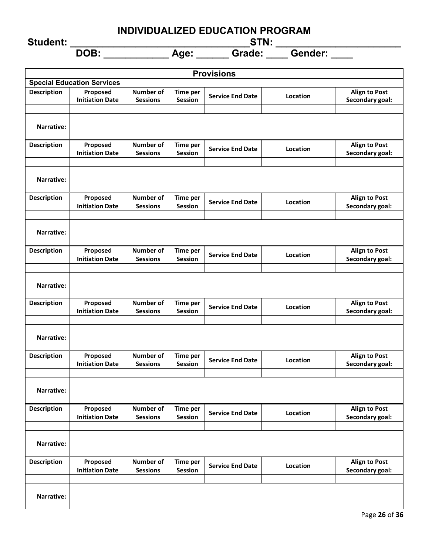**Student: \_\_\_\_\_\_\_\_\_\_\_\_\_\_\_\_\_\_\_\_\_\_\_\_\_\_\_\_\_\_\_\_\_STN: \_\_\_\_\_\_\_\_\_\_\_\_\_\_\_\_\_\_\_\_\_\_\_**

| <b>Provisions</b>  |                                    |                                     |                                   |                         |          |                                         |
|--------------------|------------------------------------|-------------------------------------|-----------------------------------|-------------------------|----------|-----------------------------------------|
|                    | <b>Special Education Services</b>  |                                     |                                   |                         |          |                                         |
| <b>Description</b> | Proposed<br><b>Initiation Date</b> | <b>Number of</b><br><b>Sessions</b> | <b>Time per</b><br><b>Session</b> | <b>Service End Date</b> | Location | <b>Align to Post</b><br>Secondary goal: |
|                    |                                    |                                     |                                   |                         |          |                                         |
| Narrative:         |                                    |                                     |                                   |                         |          |                                         |
| <b>Description</b> | Proposed<br><b>Initiation Date</b> | <b>Number of</b><br><b>Sessions</b> | <b>Time per</b><br><b>Session</b> | <b>Service End Date</b> | Location | <b>Align to Post</b><br>Secondary goal: |
| Narrative:         |                                    |                                     |                                   |                         |          |                                         |
| <b>Description</b> | Proposed<br><b>Initiation Date</b> | Number of<br><b>Sessions</b>        | <b>Time per</b><br><b>Session</b> | <b>Service End Date</b> | Location | <b>Align to Post</b><br>Secondary goal: |
| Narrative:         |                                    |                                     |                                   |                         |          |                                         |
| <b>Description</b> | Proposed<br><b>Initiation Date</b> | Number of<br><b>Sessions</b>        | <b>Time per</b><br><b>Session</b> | <b>Service End Date</b> | Location | <b>Align to Post</b><br>Secondary goal: |
| <b>Narrative:</b>  |                                    |                                     |                                   |                         |          |                                         |
| <b>Description</b> | Proposed<br><b>Initiation Date</b> | Number of<br><b>Sessions</b>        | <b>Time per</b><br><b>Session</b> | <b>Service End Date</b> | Location | <b>Align to Post</b><br>Secondary goal: |
| Narrative:         |                                    |                                     |                                   |                         |          |                                         |
| <b>Description</b> | Proposed<br><b>Initiation Date</b> | <b>Number of</b><br><b>Sessions</b> | <b>Time per</b><br><b>Session</b> | <b>Service End Date</b> | Location | <b>Align to Post</b><br>Secondary goal: |
| <b>Narrative:</b>  |                                    |                                     |                                   |                         |          |                                         |
| <b>Description</b> | Proposed<br><b>Initiation Date</b> | <b>Number of</b><br><b>Sessions</b> | <b>Time per</b><br><b>Session</b> | <b>Service End Date</b> | Location | <b>Align to Post</b><br>Secondary goal: |
| Narrative:         |                                    |                                     |                                   |                         |          |                                         |
| <b>Description</b> | Proposed<br><b>Initiation Date</b> | Number of<br><b>Sessions</b>        | <b>Time per</b><br><b>Session</b> | <b>Service End Date</b> | Location | <b>Align to Post</b><br>Secondary goal: |
| Narrative:         |                                    |                                     |                                   |                         |          |                                         |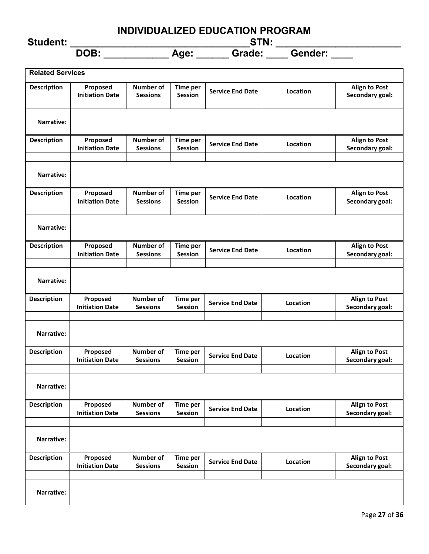**Student: \_\_\_\_\_\_\_\_\_\_\_\_\_\_\_\_\_\_\_\_\_\_\_\_\_\_\_\_\_\_\_\_\_STN: \_\_\_\_\_\_\_\_\_\_\_\_\_\_\_\_\_\_\_\_\_\_\_**

| <b>Related Services</b> |                                    |                                     |                                   |                         |          |                                         |
|-------------------------|------------------------------------|-------------------------------------|-----------------------------------|-------------------------|----------|-----------------------------------------|
| <b>Description</b>      | Proposed<br><b>Initiation Date</b> | <b>Number of</b><br><b>Sessions</b> | <b>Time per</b><br>Session        | <b>Service End Date</b> | Location | <b>Align to Post</b><br>Secondary goal: |
| Narrative:              |                                    |                                     |                                   |                         |          |                                         |
| <b>Description</b>      | Proposed<br><b>Initiation Date</b> | <b>Number of</b><br><b>Sessions</b> | <b>Time per</b><br>Session        | <b>Service End Date</b> | Location | <b>Align to Post</b><br>Secondary goal: |
| Narrative:              |                                    |                                     |                                   |                         |          |                                         |
| <b>Description</b>      | Proposed<br><b>Initiation Date</b> | <b>Number of</b><br><b>Sessions</b> | Time per<br>Session               | <b>Service End Date</b> | Location | <b>Align to Post</b><br>Secondary goal: |
| Narrative:              |                                    |                                     |                                   |                         |          |                                         |
| <b>Description</b>      | Proposed<br><b>Initiation Date</b> | <b>Number of</b><br><b>Sessions</b> | Time per<br>Session               | <b>Service End Date</b> | Location | <b>Align to Post</b><br>Secondary goal: |
| Narrative:              |                                    |                                     |                                   |                         |          |                                         |
| <b>Description</b>      | Proposed<br><b>Initiation Date</b> | <b>Number of</b><br><b>Sessions</b> | <b>Time per</b><br><b>Session</b> | <b>Service End Date</b> | Location | <b>Align to Post</b><br>Secondary goal: |
| <b>Narrative:</b>       |                                    |                                     |                                   |                         |          |                                         |
| <b>Description</b>      | Proposed<br><b>Initiation Date</b> | <b>Number of</b><br><b>Sessions</b> | <b>Time per</b><br><b>Session</b> | <b>Service End Date</b> | Location | <b>Align to Post</b><br>Secondary goal: |
| Narrative:              |                                    |                                     |                                   |                         |          |                                         |
| <b>Description</b>      | Proposed<br><b>Initiation Date</b> | Number of<br><b>Sessions</b>        | <b>Time per</b><br><b>Session</b> | <b>Service End Date</b> | Location | <b>Align to Post</b><br>Secondary goal: |
| Narrative:              |                                    |                                     |                                   |                         |          |                                         |
| <b>Description</b>      | Proposed<br><b>Initiation Date</b> | <b>Number of</b><br><b>Sessions</b> | <b>Time per</b><br>Session        | <b>Service End Date</b> | Location | <b>Align to Post</b><br>Secondary goal: |
| Narrative:              |                                    |                                     |                                   |                         |          |                                         |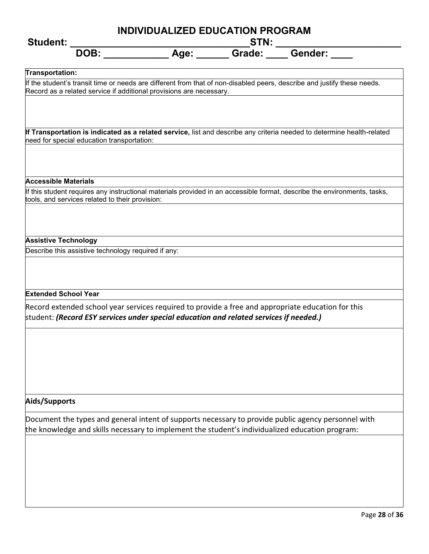| INDIVIDUALIZED EDUCATION PROGRAM<br><b>Student:</b>                                                                                                                                                               |  |  |  |  |
|-------------------------------------------------------------------------------------------------------------------------------------------------------------------------------------------------------------------|--|--|--|--|
| DOB:                                                                                                                                                                                                              |  |  |  |  |
| Transportation:<br>If the student's transit time or needs are different from that of non-disabled peers, describe and justify these needs.<br>Record as a related service if additional provisions are necessary. |  |  |  |  |
| If Transportation is indicated as a related service, list and describe any criteria needed to determine health-related<br>need for special education transportation:                                              |  |  |  |  |
| <b>Accessible Materials</b><br>If this student requires any instructional materials provided in an accessible format, describe the environments, tasks,<br>tools, and services related to their provision:        |  |  |  |  |
| <b>Assistive Technology</b><br>Describe this assistive technology required if any:                                                                                                                                |  |  |  |  |
| <b>Extended School Year</b><br>Record extended school year services required to provide a free and appropriate education for this                                                                                 |  |  |  |  |
| student: (Record ESY services under special education and related services if needed.)                                                                                                                            |  |  |  |  |
| Aids/Supports<br>Document the types and general intent of supports necessary to provide public agency personnel with                                                                                              |  |  |  |  |
| the knowledge and skills necessary to implement the student's individualized education program:                                                                                                                   |  |  |  |  |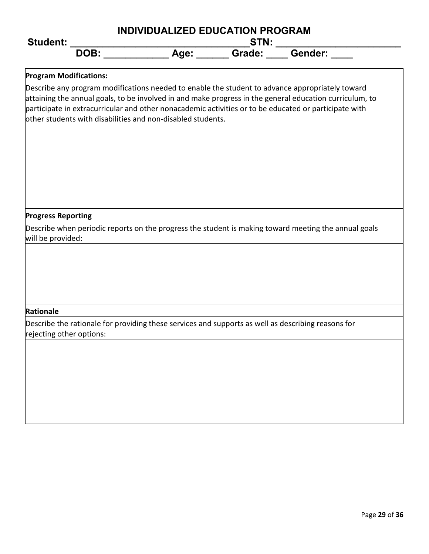| <b>Student:</b>                                                                                                                                                                                                                                                                                                                                                                    | INDIVIDUALIZED EDUCATION PROGRAM |  |  |  |  |  |
|------------------------------------------------------------------------------------------------------------------------------------------------------------------------------------------------------------------------------------------------------------------------------------------------------------------------------------------------------------------------------------|----------------------------------|--|--|--|--|--|
|                                                                                                                                                                                                                                                                                                                                                                                    |                                  |  |  |  |  |  |
| <b>Program Modifications:</b>                                                                                                                                                                                                                                                                                                                                                      |                                  |  |  |  |  |  |
| Describe any program modifications needed to enable the student to advance appropriately toward<br>attaining the annual goals, to be involved in and make progress in the general education curriculum, to<br>participate in extracurricular and other nonacademic activities or to be educated or participate with<br>other students with disabilities and non-disabled students. |                                  |  |  |  |  |  |
|                                                                                                                                                                                                                                                                                                                                                                                    |                                  |  |  |  |  |  |
|                                                                                                                                                                                                                                                                                                                                                                                    |                                  |  |  |  |  |  |
|                                                                                                                                                                                                                                                                                                                                                                                    |                                  |  |  |  |  |  |
| <b>Progress Reporting</b>                                                                                                                                                                                                                                                                                                                                                          |                                  |  |  |  |  |  |
| Describe when periodic reports on the progress the student is making toward meeting the annual goals<br>will be provided:                                                                                                                                                                                                                                                          |                                  |  |  |  |  |  |
|                                                                                                                                                                                                                                                                                                                                                                                    |                                  |  |  |  |  |  |
|                                                                                                                                                                                                                                                                                                                                                                                    |                                  |  |  |  |  |  |
|                                                                                                                                                                                                                                                                                                                                                                                    |                                  |  |  |  |  |  |
| Rationale                                                                                                                                                                                                                                                                                                                                                                          |                                  |  |  |  |  |  |
| Describe the rationale for providing these services and supports as well as describing reasons for<br>rejecting other options:                                                                                                                                                                                                                                                     |                                  |  |  |  |  |  |
|                                                                                                                                                                                                                                                                                                                                                                                    |                                  |  |  |  |  |  |
|                                                                                                                                                                                                                                                                                                                                                                                    |                                  |  |  |  |  |  |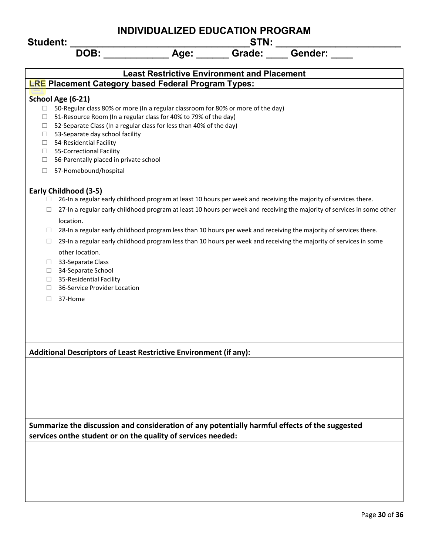**Student: \_\_\_\_\_\_\_\_\_\_\_\_\_\_\_\_\_\_\_\_\_\_\_\_\_\_\_\_\_\_\_\_\_STN: \_\_\_\_\_\_\_\_\_\_\_\_\_\_\_\_\_\_\_\_\_\_\_**

|                             | DOB:                                                                                                             | Age:                                               | Grade: | Gender:                                                                                                                                                                                                                                 |
|-----------------------------|------------------------------------------------------------------------------------------------------------------|----------------------------------------------------|--------|-----------------------------------------------------------------------------------------------------------------------------------------------------------------------------------------------------------------------------------------|
|                             |                                                                                                                  | <b>Least Restrictive Environment and Placement</b> |        |                                                                                                                                                                                                                                         |
|                             | <b>LRE Placement Category based Federal Program Types:</b>                                                       |                                                    |        |                                                                                                                                                                                                                                         |
|                             | School Age (6-21)                                                                                                |                                                    |        |                                                                                                                                                                                                                                         |
| $\Box$                      | 50-Regular class 80% or more (In a regular classroom for 80% or more of the day)                                 |                                                    |        |                                                                                                                                                                                                                                         |
| ⊔                           | 51-Resource Room (In a regular class for 40% to 79% of the day)                                                  |                                                    |        |                                                                                                                                                                                                                                         |
| ⊔<br>⊔                      | 52-Separate Class (In a regular class for less than 40% of the day)<br>53-Separate day school facility           |                                                    |        |                                                                                                                                                                                                                                         |
| ⊔                           | 54-Residential Facility                                                                                          |                                                    |        |                                                                                                                                                                                                                                         |
| ⊔                           | 55-Correctional Facility                                                                                         |                                                    |        |                                                                                                                                                                                                                                         |
| ⊔                           | 56-Parentally placed in private school                                                                           |                                                    |        |                                                                                                                                                                                                                                         |
| $\Box$                      | 57-Homebound/hospital                                                                                            |                                                    |        |                                                                                                                                                                                                                                         |
|                             | Early Childhood (3-5)                                                                                            |                                                    |        |                                                                                                                                                                                                                                         |
| ⊔                           | 26-In a regular early childhood program at least 10 hours per week and receiving the majority of services there. |                                                    |        |                                                                                                                                                                                                                                         |
| ⊔                           |                                                                                                                  |                                                    |        | 27-In a regular early childhood program at least 10 hours per week and receiving the majority of services in some other                                                                                                                 |
|                             | location.                                                                                                        |                                                    |        |                                                                                                                                                                                                                                         |
| ⊔<br>⊔                      |                                                                                                                  |                                                    |        | 28-In a regular early childhood program less than 10 hours per week and receiving the majority of services there.<br>29-In a regular early childhood program less than 10 hours per week and receiving the majority of services in some |
|                             | other location.                                                                                                  |                                                    |        |                                                                                                                                                                                                                                         |
| $\Box$                      | 33-Separate Class                                                                                                |                                                    |        |                                                                                                                                                                                                                                         |
| ⊔                           | 34-Separate School                                                                                               |                                                    |        |                                                                                                                                                                                                                                         |
| $\Box$<br>$\vert \ \ \vert$ | 35-Residential Facility<br>36-Service Provider Location                                                          |                                                    |        |                                                                                                                                                                                                                                         |
| П                           | 37-Home                                                                                                          |                                                    |        |                                                                                                                                                                                                                                         |
|                             |                                                                                                                  |                                                    |        |                                                                                                                                                                                                                                         |
|                             |                                                                                                                  |                                                    |        |                                                                                                                                                                                                                                         |
|                             |                                                                                                                  |                                                    |        |                                                                                                                                                                                                                                         |
|                             |                                                                                                                  |                                                    |        |                                                                                                                                                                                                                                         |
|                             | Additional Descriptors of Least Restrictive Environment (if any):                                                |                                                    |        |                                                                                                                                                                                                                                         |
|                             |                                                                                                                  |                                                    |        |                                                                                                                                                                                                                                         |
|                             |                                                                                                                  |                                                    |        |                                                                                                                                                                                                                                         |
|                             |                                                                                                                  |                                                    |        |                                                                                                                                                                                                                                         |
|                             |                                                                                                                  |                                                    |        |                                                                                                                                                                                                                                         |
|                             |                                                                                                                  |                                                    |        |                                                                                                                                                                                                                                         |
|                             | Summarize the discussion and consideration of any potentially harmful effects of the suggested                   |                                                    |        |                                                                                                                                                                                                                                         |
|                             | services onthe student or on the quality of services needed:                                                     |                                                    |        |                                                                                                                                                                                                                                         |
|                             |                                                                                                                  |                                                    |        |                                                                                                                                                                                                                                         |
|                             |                                                                                                                  |                                                    |        |                                                                                                                                                                                                                                         |
|                             |                                                                                                                  |                                                    |        |                                                                                                                                                                                                                                         |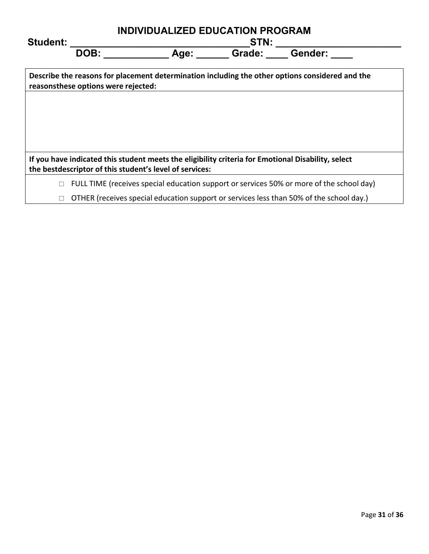| <b>Student:</b> |                                     | <b>INDIVIDUALIZED EDUCATION PROGRAM</b><br>STN:                                                    |  |                                                                                                 |  |  |
|-----------------|-------------------------------------|----------------------------------------------------------------------------------------------------|--|-------------------------------------------------------------------------------------------------|--|--|
|                 | DOB:                                | Age:                                                                                               |  | Grade: Gender:                                                                                  |  |  |
|                 | reasonsthese options were rejected: |                                                                                                    |  | Describe the reasons for placement determination including the other options considered and the |  |  |
|                 |                                     |                                                                                                    |  |                                                                                                 |  |  |
|                 |                                     |                                                                                                    |  |                                                                                                 |  |  |
|                 |                                     | If you have indicated this student meets the eligibility criteria for Emotional Disability, select |  |                                                                                                 |  |  |
|                 |                                     | the bestdescriptor of this student's level of services:                                            |  |                                                                                                 |  |  |
|                 |                                     |                                                                                                    |  | FULL TIME (receives special education support or services 50% or more of the school day)        |  |  |
|                 |                                     |                                                                                                    |  | OTHER (receives special education support or services less than 50% of the school day.)         |  |  |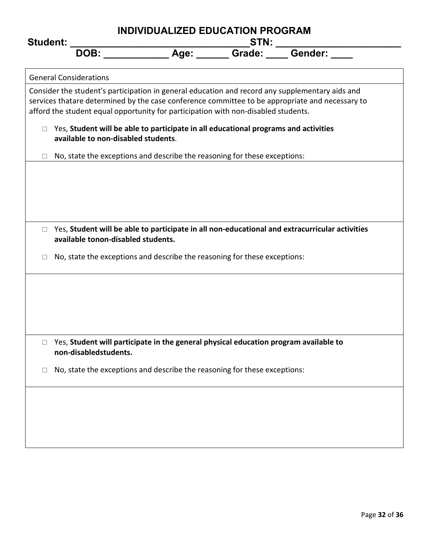| INDIVIDUALIZED EDUCATION PROGRAM<br><b>Student:</b> |                                     |                                                                                      |  |  |                                                                                                                                                                                                    |
|-----------------------------------------------------|-------------------------------------|--------------------------------------------------------------------------------------|--|--|----------------------------------------------------------------------------------------------------------------------------------------------------------------------------------------------------|
|                                                     | DOB:                                |                                                                                      |  |  |                                                                                                                                                                                                    |
|                                                     | <b>General Considerations</b>       |                                                                                      |  |  |                                                                                                                                                                                                    |
|                                                     |                                     | afford the student equal opportunity for participation with non-disabled students.   |  |  | Consider the student's participation in general education and record any supplementary aids and<br>services thatare determined by the case conference committee to be appropriate and necessary to |
| $\Box$                                              | available to non-disabled students. | Yes, Student will be able to participate in all educational programs and activities  |  |  |                                                                                                                                                                                                    |
|                                                     |                                     | No, state the exceptions and describe the reasoning for these exceptions:            |  |  |                                                                                                                                                                                                    |
|                                                     |                                     |                                                                                      |  |  |                                                                                                                                                                                                    |
|                                                     |                                     |                                                                                      |  |  |                                                                                                                                                                                                    |
|                                                     |                                     |                                                                                      |  |  |                                                                                                                                                                                                    |
| $\Box$                                              | available tonon-disabled students.  |                                                                                      |  |  | Yes, Student will be able to participate in all non-educational and extracurricular activities                                                                                                     |
|                                                     |                                     | No, state the exceptions and describe the reasoning for these exceptions:            |  |  |                                                                                                                                                                                                    |
|                                                     |                                     |                                                                                      |  |  |                                                                                                                                                                                                    |
|                                                     |                                     |                                                                                      |  |  |                                                                                                                                                                                                    |
|                                                     |                                     |                                                                                      |  |  |                                                                                                                                                                                                    |
| □                                                   | non-disabledstudents.               | Yes, Student will participate in the general physical education program available to |  |  |                                                                                                                                                                                                    |
|                                                     |                                     | No, state the exceptions and describe the reasoning for these exceptions:            |  |  |                                                                                                                                                                                                    |
|                                                     |                                     |                                                                                      |  |  |                                                                                                                                                                                                    |
|                                                     |                                     |                                                                                      |  |  |                                                                                                                                                                                                    |
|                                                     |                                     |                                                                                      |  |  |                                                                                                                                                                                                    |
|                                                     |                                     |                                                                                      |  |  |                                                                                                                                                                                                    |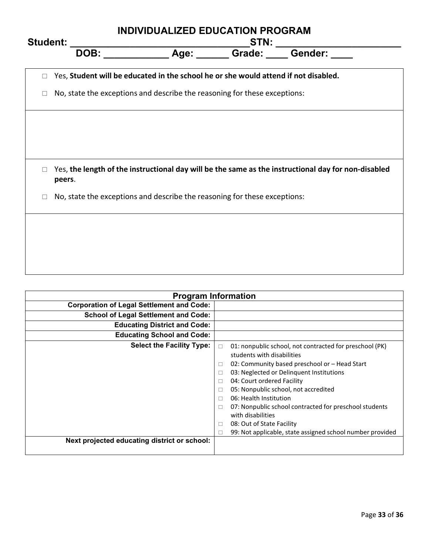|                 |                                                                                     | <b>INDIVIDUALIZED EDUCATION PROGRAM</b> |      |                                                                                                     |  |  |  |  |  |  |  |
|-----------------|-------------------------------------------------------------------------------------|-----------------------------------------|------|-----------------------------------------------------------------------------------------------------|--|--|--|--|--|--|--|
| <b>Student:</b> | DOB:                                                                                | Age: Grade: Gender:                     | STN: |                                                                                                     |  |  |  |  |  |  |  |
|                 | Yes, Student will be educated in the school he or she would attend if not disabled. |                                         |      |                                                                                                     |  |  |  |  |  |  |  |
|                 | No, state the exceptions and describe the reasoning for these exceptions:           |                                         |      |                                                                                                     |  |  |  |  |  |  |  |
|                 |                                                                                     |                                         |      |                                                                                                     |  |  |  |  |  |  |  |
|                 |                                                                                     |                                         |      |                                                                                                     |  |  |  |  |  |  |  |
|                 |                                                                                     |                                         |      |                                                                                                     |  |  |  |  |  |  |  |
|                 | peers.                                                                              |                                         |      | Yes, the length of the instructional day will be the same as the instructional day for non-disabled |  |  |  |  |  |  |  |
| $\Box$          | No, state the exceptions and describe the reasoning for these exceptions:           |                                         |      |                                                                                                     |  |  |  |  |  |  |  |
|                 |                                                                                     |                                         |      |                                                                                                     |  |  |  |  |  |  |  |
|                 |                                                                                     |                                         |      |                                                                                                     |  |  |  |  |  |  |  |
|                 |                                                                                     |                                         |      |                                                                                                     |  |  |  |  |  |  |  |

| <b>Program Information</b>                                                       |                                                                                                                                                                                                                                                                                                                                                                                                                                                                                                                         |  |  |  |  |  |  |  |  |  |  |
|----------------------------------------------------------------------------------|-------------------------------------------------------------------------------------------------------------------------------------------------------------------------------------------------------------------------------------------------------------------------------------------------------------------------------------------------------------------------------------------------------------------------------------------------------------------------------------------------------------------------|--|--|--|--|--|--|--|--|--|--|
| <b>Corporation of Legal Settlement and Code:</b>                                 |                                                                                                                                                                                                                                                                                                                                                                                                                                                                                                                         |  |  |  |  |  |  |  |  |  |  |
| <b>School of Legal Settlement and Code:</b>                                      |                                                                                                                                                                                                                                                                                                                                                                                                                                                                                                                         |  |  |  |  |  |  |  |  |  |  |
| <b>Educating District and Code:</b>                                              |                                                                                                                                                                                                                                                                                                                                                                                                                                                                                                                         |  |  |  |  |  |  |  |  |  |  |
| <b>Educating School and Code:</b>                                                |                                                                                                                                                                                                                                                                                                                                                                                                                                                                                                                         |  |  |  |  |  |  |  |  |  |  |
| <b>Select the Facility Type:</b><br>Next projected educating district or school: | 01: nonpublic school, not contracted for preschool (PK)<br>$\Box$<br>students with disabilities<br>02: Community based preschool or - Head Start<br>$\Box$<br>03: Neglected or Delinquent Institutions<br>П<br>04: Court ordered Facility<br>П<br>05: Nonpublic school, not accredited<br>П<br>06: Health Institution<br>$\Box$<br>07: Nonpublic school contracted for preschool students<br>П<br>with disabilities<br>08: Out of State Facility<br>□<br>99: Not applicable, state assigned school number provided<br>□ |  |  |  |  |  |  |  |  |  |  |
|                                                                                  |                                                                                                                                                                                                                                                                                                                                                                                                                                                                                                                         |  |  |  |  |  |  |  |  |  |  |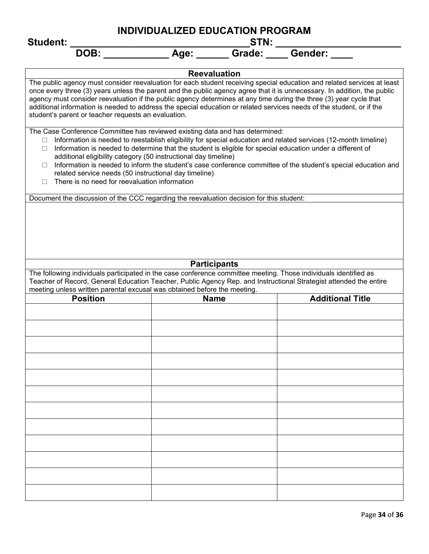| <b>Student:</b>                                                                                                                                                                                                                                                                                                                                                                                                                                                                                                                                                                                                                       | STN:           |                                                                                                                                                                                                                                                     |  |  |  |  |  |  |  |  |  |  |
|---------------------------------------------------------------------------------------------------------------------------------------------------------------------------------------------------------------------------------------------------------------------------------------------------------------------------------------------------------------------------------------------------------------------------------------------------------------------------------------------------------------------------------------------------------------------------------------------------------------------------------------|----------------|-----------------------------------------------------------------------------------------------------------------------------------------------------------------------------------------------------------------------------------------------------|--|--|--|--|--|--|--|--|--|--|
| DOB:                                                                                                                                                                                                                                                                                                                                                                                                                                                                                                                                                                                                                                  | Grade:<br>Age: | <b>Gender:</b>                                                                                                                                                                                                                                      |  |  |  |  |  |  |  |  |  |  |
| <b>Reevaluation</b>                                                                                                                                                                                                                                                                                                                                                                                                                                                                                                                                                                                                                   |                |                                                                                                                                                                                                                                                     |  |  |  |  |  |  |  |  |  |  |
| agency must consider reevaluation if the public agency determines at any time during the three (3) year cycle that<br>additional information is needed to address the special education or related services needs of the student, or if the<br>student's parent or teacher requests an evaluation.                                                                                                                                                                                                                                                                                                                                    |                | The public agency must consider reevaluation for each student receiving special education and related services at least<br>once every three (3) years unless the parent and the public agency agree that it is unnecessary. In addition, the public |  |  |  |  |  |  |  |  |  |  |
| The Case Conference Committee has reviewed existing data and has determined:<br>Information is needed to reestablish eligibility for special education and related services (12-month timeline)<br>Information is needed to determine that the student is eligible for special education under a different of<br>$\Box$<br>additional eligibility category (50 instructional day timeline)<br>Information is needed to inform the student's case conference committee of the student's special education and<br>$\Box$<br>related service needs (50 instructional day timeline)<br>There is no need for reevaluation information<br>П |                |                                                                                                                                                                                                                                                     |  |  |  |  |  |  |  |  |  |  |
| Document the discussion of the CCC regarding the reevaluation decision for this student:                                                                                                                                                                                                                                                                                                                                                                                                                                                                                                                                              |                |                                                                                                                                                                                                                                                     |  |  |  |  |  |  |  |  |  |  |
| <b>Participants</b><br>The following individuals participated in the case conference committee meeting. Those individuals identified as<br>Teacher of Record, General Education Teacher, Public Agency Rep. and Instructional Strategist attended the entire                                                                                                                                                                                                                                                                                                                                                                          |                |                                                                                                                                                                                                                                                     |  |  |  |  |  |  |  |  |  |  |
| meeting unless written parental excusal was obtained before the meeting.                                                                                                                                                                                                                                                                                                                                                                                                                                                                                                                                                              |                |                                                                                                                                                                                                                                                     |  |  |  |  |  |  |  |  |  |  |
| <b>Position</b>                                                                                                                                                                                                                                                                                                                                                                                                                                                                                                                                                                                                                       | <b>Name</b>    | <b>Additional Title</b>                                                                                                                                                                                                                             |  |  |  |  |  |  |  |  |  |  |
|                                                                                                                                                                                                                                                                                                                                                                                                                                                                                                                                                                                                                                       |                |                                                                                                                                                                                                                                                     |  |  |  |  |  |  |  |  |  |  |
|                                                                                                                                                                                                                                                                                                                                                                                                                                                                                                                                                                                                                                       |                |                                                                                                                                                                                                                                                     |  |  |  |  |  |  |  |  |  |  |
|                                                                                                                                                                                                                                                                                                                                                                                                                                                                                                                                                                                                                                       |                |                                                                                                                                                                                                                                                     |  |  |  |  |  |  |  |  |  |  |
|                                                                                                                                                                                                                                                                                                                                                                                                                                                                                                                                                                                                                                       |                |                                                                                                                                                                                                                                                     |  |  |  |  |  |  |  |  |  |  |
|                                                                                                                                                                                                                                                                                                                                                                                                                                                                                                                                                                                                                                       |                |                                                                                                                                                                                                                                                     |  |  |  |  |  |  |  |  |  |  |
|                                                                                                                                                                                                                                                                                                                                                                                                                                                                                                                                                                                                                                       |                |                                                                                                                                                                                                                                                     |  |  |  |  |  |  |  |  |  |  |
|                                                                                                                                                                                                                                                                                                                                                                                                                                                                                                                                                                                                                                       |                |                                                                                                                                                                                                                                                     |  |  |  |  |  |  |  |  |  |  |
|                                                                                                                                                                                                                                                                                                                                                                                                                                                                                                                                                                                                                                       |                |                                                                                                                                                                                                                                                     |  |  |  |  |  |  |  |  |  |  |
|                                                                                                                                                                                                                                                                                                                                                                                                                                                                                                                                                                                                                                       |                |                                                                                                                                                                                                                                                     |  |  |  |  |  |  |  |  |  |  |
|                                                                                                                                                                                                                                                                                                                                                                                                                                                                                                                                                                                                                                       |                |                                                                                                                                                                                                                                                     |  |  |  |  |  |  |  |  |  |  |
|                                                                                                                                                                                                                                                                                                                                                                                                                                                                                                                                                                                                                                       |                |                                                                                                                                                                                                                                                     |  |  |  |  |  |  |  |  |  |  |
|                                                                                                                                                                                                                                                                                                                                                                                                                                                                                                                                                                                                                                       |                |                                                                                                                                                                                                                                                     |  |  |  |  |  |  |  |  |  |  |
|                                                                                                                                                                                                                                                                                                                                                                                                                                                                                                                                                                                                                                       |                |                                                                                                                                                                                                                                                     |  |  |  |  |  |  |  |  |  |  |
|                                                                                                                                                                                                                                                                                                                                                                                                                                                                                                                                                                                                                                       |                |                                                                                                                                                                                                                                                     |  |  |  |  |  |  |  |  |  |  |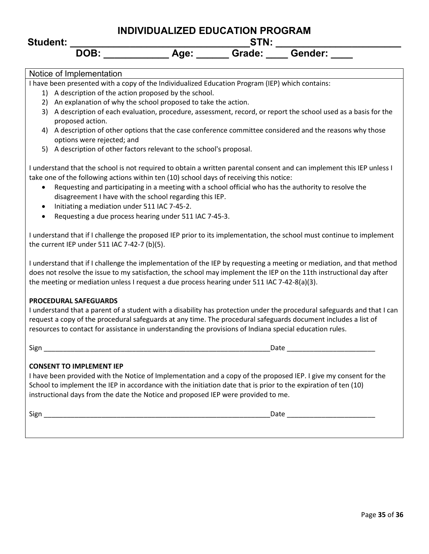# **INDIVIDUALIZED EDUCATION PROGRAM Student: \_\_\_\_\_\_\_\_\_\_\_\_\_\_\_\_\_\_\_\_\_\_\_\_\_\_\_\_\_\_\_\_\_STN: \_\_\_\_\_\_\_\_\_\_\_\_\_\_\_\_\_\_\_\_\_\_\_**

### Notice of Implementation

I have been presented with a copy of the Individualized Education Program (IEP) which contains:

- 1) A description of the action proposed by the school.
- 2) An explanation of why the school proposed to take the action.
- 3) A description of each evaluation, procedure, assessment, record, or report the school used as a basis for the proposed action.
- 4) A description of other options that the case conference committee considered and the reasons why those options were rejected; and
- 5) A description of other factors relevant to the school's proposal.

I understand that the school is not required to obtain a written parental consent and can implement this IEP unless I take one of the following actions within ten (10) school days of receiving this notice:

- Requesting and participating in a meeting with a school official who has the authority to resolve the disagreement I have with the school regarding this IEP.
- Initiating a mediation under 511 IAC 7-45-2.
- Requesting a due process hearing under 511 IAC 7-45-3.

I understand that if I challenge the proposed IEP prior to its implementation, the school must continue to implement the current IEP under 511 IAC 7-42-7 (b)(5).

I understand that if I challenge the implementation of the IEP by requesting a meeting or mediation, and that method does not resolve the issue to my satisfaction, the school may implement the IEP on the 11th instructional day after the meeting or mediation unless I request a due process hearing under 511 IAC 7-42-8(a)(3).

### **PROCEDURAL SAFEGUARDS**

I understand that a parent of a student with a disability has protection under the procedural safeguards and that I can request a copy of the procedural safeguards at any time. The procedural safeguards document includes a list of resources to contact for assistance in understanding the provisions of Indiana special education rules.

Sign \_\_\_\_\_\_\_\_\_\_\_\_\_\_\_\_\_\_\_\_\_\_\_\_\_\_\_\_\_\_\_\_\_\_\_\_\_\_\_\_\_\_\_\_\_\_\_\_\_\_\_\_\_\_\_\_\_\_\_Date \_\_\_\_\_\_\_\_\_\_\_\_\_\_\_\_\_\_\_\_\_\_\_

### **CONSENT TO IMPLEMENT IEP**

I have been provided with the Notice of Implementation and a copy of the proposed IEP. I give my consent for the School to implement the IEP in accordance with the initiation date that is prior to the expiration of ten (10) instructional days from the date the Notice and proposed IEP were provided to me.

 $Sign$   $\hspace{.08cm}$   $\hspace{.08cm}$   $\hspace{.08cm}$   $\hspace{.08cm}$   $\hspace{.08cm}$   $\hspace{.08cm}$   $\hspace{.08cm}$   $\hspace{.08cm}$   $\hspace{.08cm}$   $\hspace{.08cm}$   $\hspace{.08cm}$   $\hspace{.08cm}$   $\hspace{.08cm}$   $\hspace{.08cm}$   $\hspace{.08cm}$   $\hspace{.08cm}$   $\hspace{.08cm}$   $\hspace{.08cm}$